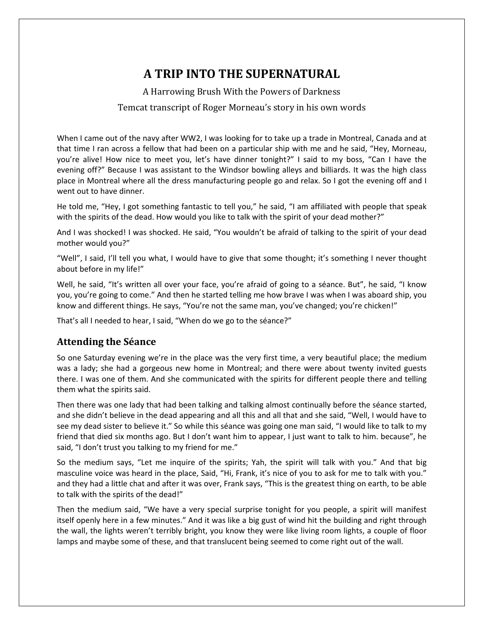# **A TRIP INTO THE SUPERNATURAL**

A Harrowing Brush With the Powers of Darkness

### Temcat transcript of Roger Morneau's story in his own words

When I came out of the navy after WW2, I was looking for to take up a trade in Montreal, Canada and at that time I ran across a fellow that had been on a particular ship with me and he said, "Hey, Morneau, you're alive! How nice to meet you, let's have dinner tonight?" I said to my boss, "Can I have the evening off?" Because I was assistant to the Windsor bowling alleys and billiards. It was the high class place in Montreal where all the dress manufacturing people go and relax. So I got the evening off and I went out to have dinner.

He told me, "Hey, I got something fantastic to tell you," he said, "I am affiliated with people that speak with the spirits of the dead. How would you like to talk with the spirit of your dead mother?"

And I was shocked! I was shocked. He said, "You wouldn't be afraid of talking to the spirit of your dead mother would you?"

"Well", I said, I'll tell you what, I would have to give that some thought; it's something I never thought about before in my life!"

Well, he said, "It's written all over your face, you're afraid of going to a séance. But", he said, "I know you, you're going to come." And then he started telling me how brave I was when I was aboard ship, you know and different things. He says, "You're not the same man, you've changed; you're chicken!"

That's all I needed to hear, I said, "When do we go to the séance?"

### **Attending the Séance**

So one Saturday evening we're in the place was the very first time, a very beautiful place; the medium was a lady; she had a gorgeous new home in Montreal; and there were about twenty invited guests there. I was one of them. And she communicated with the spirits for different people there and telling them what the spirits said.

Then there was one lady that had been talking and talking almost continually before the séance started, and she didn't believe in the dead appearing and all this and all that and she said, "Well, I would have to see my dead sister to believe it." So while this séance was going one man said, "I would like to talk to my friend that died six months ago. But I don't want him to appear, I just want to talk to him. because", he said, "I don't trust you talking to my friend for me."

So the medium says, "Let me inquire of the spirits; Yah, the spirit will talk with you." And that big masculine voice was heard in the place, Said, "Hi, Frank, it's nice of you to ask for me to talk with you." and they had a little chat and after it was over, Frank says, "This is the greatest thing on earth, to be able to talk with the spirits of the dead!"

Then the medium said, "We have a very special surprise tonight for you people, a spirit will manifest itself openly here in a few minutes." And it was like a big gust of wind hit the building and right through the wall, the lights weren't terribly bright, you know they were like living room lights, a couple of floor lamps and maybe some of these, and that translucent being seemed to come right out of the wall.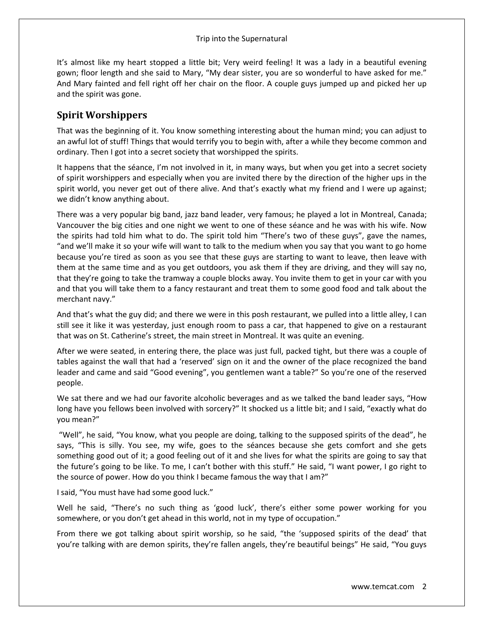It's almost like my heart stopped a little bit; Very weird feeling! It was a lady in a beautiful evening gown; floor length and she said to Mary, "My dear sister, you are so wonderful to have asked for me." And Mary fainted and fell right off her chair on the floor. A couple guys jumped up and picked her up and the spirit was gone.

### **Spirit Worshippers**

That was the beginning of it. You know something interesting about the human mind; you can adjust to an awful lot of stuff! Things that would terrify you to begin with, after a while they become common and ordinary. Then I got into a secret society that worshipped the spirits.

It happens that the séance, I'm not involved in it, in many ways, but when you get into a secret society of spirit worshippers and especially when you are invited there by the direction of the higher ups in the spirit world, you never get out of there alive. And that's exactly what my friend and I were up against; we didn't know anything about.

There was a very popular big band, jazz band leader, very famous; he played a lot in Montreal, Canada; Vancouver the big cities and one night we went to one of these séance and he was with his wife. Now the spirits had told him what to do. The spirit told him "There's two of these guys", gave the names, "and we'll make it so your wife will want to talk to the medium when you say that you want to go home because you're tired as soon as you see that these guys are starting to want to leave, then leave with them at the same time and as you get outdoors, you ask them if they are driving, and they will say no, that they're going to take the tramway a couple blocks away. You invite them to get in your car with you and that you will take them to a fancy restaurant and treat them to some good food and talk about the merchant navy."

And that's what the guy did; and there we were in this posh restaurant, we pulled into a little alley, I can still see it like it was yesterday, just enough room to pass a car, that happened to give on a restaurant that was on St. Catherine's street, the main street in Montreal. It was quite an evening.

After we were seated, in entering there, the place was just full, packed tight, but there was a couple of tables against the wall that had a 'reserved' sign on it and the owner of the place recognized the band leader and came and said "Good evening", you gentlemen want a table?" So you're one of the reserved people.

We sat there and we had our favorite alcoholic beverages and as we talked the band leader says, "How long have you fellows been involved with sorcery?" It shocked us a little bit; and I said, "exactly what do you mean?"

"Well", he said, "You know, what you people are doing, talking to the supposed spirits of the dead", he says, "This is silly. You see, my wife, goes to the séances because she gets comfort and she gets something good out of it; a good feeling out of it and she lives for what the spirits are going to say that the future's going to be like. To me, I can't bother with this stuff." He said, "I want power, I go right to the source of power. How do you think I became famous the way that I am?"

I said, "You must have had some good luck."

Well he said, "There's no such thing as 'good luck', there's either some power working for you somewhere, or you don't get ahead in this world, not in my type of occupation."

From there we got talking about spirit worship, so he said, "the 'supposed spirits of the dead' that you're talking with are demon spirits, they're fallen angels, they're beautiful beings" He said, "You guys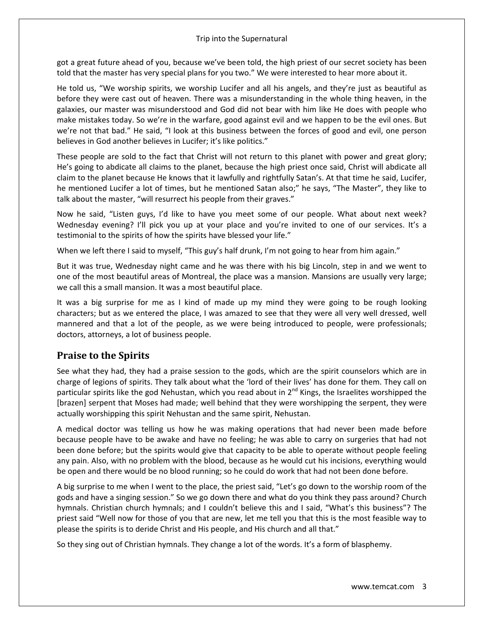got a great future ahead of you, because we've been told, the high priest of our secret society has been told that the master has very special plans for you two." We were interested to hear more about it.

He told us, "We worship spirits, we worship Lucifer and all his angels, and they're just as beautiful as before they were cast out of heaven. There was a misunderstanding in the whole thing heaven, in the galaxies, our master was misunderstood and God did not bear with him like He does with people who make mistakes today. So we're in the warfare, good against evil and we happen to be the evil ones. But we're not that bad." He said, "I look at this business between the forces of good and evil, one person believes in God another believes in Lucifer; it's like politics."

These people are sold to the fact that Christ will not return to this planet with power and great glory; He's going to abdicate all claims to the planet, because the high priest once said, Christ will abdicate all claim to the planet because He knows that it lawfully and rightfully Satan's. At that time he said, Lucifer, he mentioned Lucifer a lot of times, but he mentioned Satan also;" he says, "The Master", they like to talk about the master, "will resurrect his people from their graves."

Now he said, "Listen guys, I'd like to have you meet some of our people. What about next week? Wednesday evening? I'll pick you up at your place and you're invited to one of our services. It's a testimonial to the spirits of how the spirits have blessed your life."

When we left there I said to myself, "This guy's half drunk, I'm not going to hear from him again."

But it was true, Wednesday night came and he was there with his big Lincoln, step in and we went to one of the most beautiful areas of Montreal, the place was a mansion. Mansions are usually very large; we call this a small mansion. It was a most beautiful place.

It was a big surprise for me as I kind of made up my mind they were going to be rough looking characters; but as we entered the place, I was amazed to see that they were all very well dressed, well mannered and that a lot of the people, as we were being introduced to people, were professionals; doctors, attorneys, a lot of business people.

# **Praise to the Spirits**

See what they had, they had a praise session to the gods, which are the spirit counselors which are in charge of legions of spirits. They talk about what the 'lord of their lives' has done for them. They call on particular spirits like the god Nehustan, which you read about in  $2^{nd}$  Kings, the Israelites worshipped the [brazen] serpent that Moses had made; well behind that they were worshipping the serpent, they were actually worshipping this spirit Nehustan and the same spirit, Nehustan.

A medical doctor was telling us how he was making operations that had never been made before because people have to be awake and have no feeling; he was able to carry on surgeries that had not been done before; but the spirits would give that capacity to be able to operate without people feeling any pain. Also, with no problem with the blood, because as he would cut his incisions, everything would be open and there would be no blood running; so he could do work that had not been done before.

A big surprise to me when I went to the place, the priest said, "Let's go down to the worship room of the gods and have a singing session." So we go down there and what do you think they pass around? Church hymnals. Christian church hymnals; and I couldn't believe this and I said, "What's this business"? The priest said "Well now for those of you that are new, let me tell you that this is the most feasible way to please the spirits is to deride Christ and His people, and His church and all that."

So they sing out of Christian hymnals. They change a lot of the words. It's a form of blasphemy.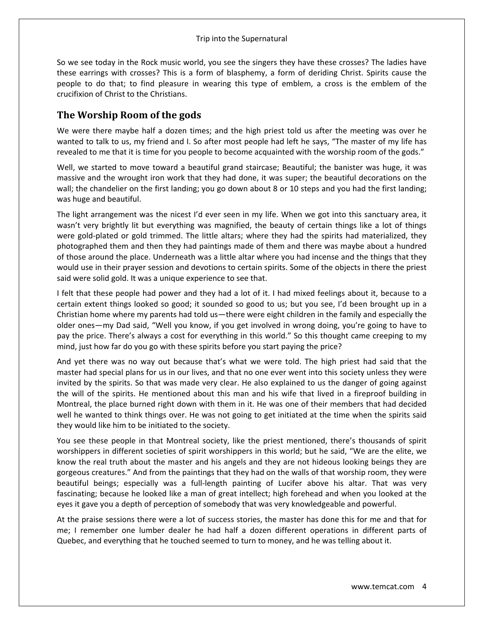So we see today in the Rock music world, you see the singers they have these crosses? The ladies have these earrings with crosses? This is a form of blasphemy, a form of deriding Christ. Spirits cause the people to do that; to find pleasure in wearing this type of emblem, a cross is the emblem of the crucifixion of Christ to the Christians.

### **The Worship Room of the gods**

We were there maybe half a dozen times; and the high priest told us after the meeting was over he wanted to talk to us, my friend and I. So after most people had left he says, "The master of my life has revealed to me that it is time for you people to become acquainted with the worship room of the gods."

Well, we started to move toward a beautiful grand staircase; Beautiful; the banister was huge, it was massive and the wrought iron work that they had done, it was super; the beautiful decorations on the wall; the chandelier on the first landing; you go down about 8 or 10 steps and you had the first landing; was huge and beautiful.

The light arrangement was the nicest I'd ever seen in my life. When we got into this sanctuary area, it wasn't very brightly lit but everything was magnified, the beauty of certain things like a lot of things were gold-plated or gold trimmed. The little altars; where they had the spirits had materialized, they photographed them and then they had paintings made of them and there was maybe about a hundred of those around the place. Underneath was a little altar where you had incense and the things that they would use in their prayer session and devotions to certain spirits. Some of the objects in there the priest said were solid gold. It was a unique experience to see that.

I felt that these people had power and they had a lot of it. I had mixed feelings about it, because to a certain extent things looked so good; it sounded so good to us; but you see, I'd been brought up in a Christian home where my parents had told us—there were eight children in the family and especially the older ones—my Dad said, "Well you know, if you get involved in wrong doing, you're going to have to pay the price. There's always a cost for everything in this world." So this thought came creeping to my mind, just how far do you go with these spirits before you start paying the price?

And yet there was no way out because that's what we were told. The high priest had said that the master had special plans for us in our lives, and that no one ever went into this society unless they were invited by the spirits. So that was made very clear. He also explained to us the danger of going against the will of the spirits. He mentioned about this man and his wife that lived in a fireproof building in Montreal, the place burned right down with them in it. He was one of their members that had decided well he wanted to think things over. He was not going to get initiated at the time when the spirits said they would like him to be initiated to the society.

You see these people in that Montreal society, like the priest mentioned, there's thousands of spirit worshippers in different societies of spirit worshippers in this world; but he said, "We are the elite, we know the real truth about the master and his angels and they are not hideous looking beings they are gorgeous creatures." And from the paintings that they had on the walls of that worship room, they were beautiful beings; especially was a full-length painting of Lucifer above his altar. That was very fascinating; because he looked like a man of great intellect; high forehead and when you looked at the eyes it gave you a depth of perception of somebody that was very knowledgeable and powerful.

At the praise sessions there were a lot of success stories, the master has done this for me and that for me; I remember one lumber dealer he had half a dozen different operations in different parts of Quebec, and everything that he touched seemed to turn to money, and he was telling about it.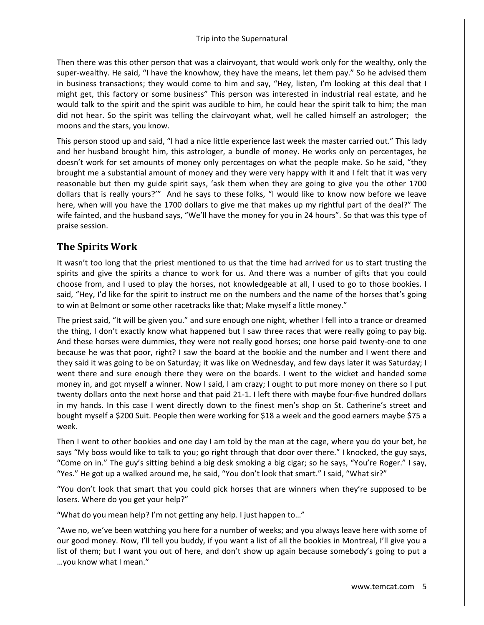Then there was this other person that was a clairvoyant, that would work only for the wealthy, only the super-wealthy. He said, "I have the knowhow, they have the means, let them pay." So he advised them in business transactions; they would come to him and say, "Hey, listen, I'm looking at this deal that I might get, this factory or some business" This person was interested in industrial real estate, and he would talk to the spirit and the spirit was audible to him, he could hear the spirit talk to him; the man did not hear. So the spirit was telling the clairvoyant what, well he called himself an astrologer; the moons and the stars, you know.

This person stood up and said, "I had a nice little experience last week the master carried out." This lady and her husband brought him, this astrologer, a bundle of money. He works only on percentages, he doesn't work for set amounts of money only percentages on what the people make. So he said, "they brought me a substantial amount of money and they were very happy with it and I felt that it was very reasonable but then my guide spirit says, 'ask them when they are going to give you the other 1700 dollars that is really yours?'" And he says to these folks, "I would like to know now before we leave here, when will you have the 1700 dollars to give me that makes up my rightful part of the deal?" The wife fainted, and the husband says, "We'll have the money for you in 24 hours". So that was this type of praise session.

# **The Spirits Work**

It wasn't too long that the priest mentioned to us that the time had arrived for us to start trusting the spirits and give the spirits a chance to work for us. And there was a number of gifts that you could choose from, and I used to play the horses, not knowledgeable at all, I used to go to those bookies. I said, "Hey, I'd like for the spirit to instruct me on the numbers and the name of the horses that's going to win at Belmont or some other racetracks like that; Make myself a little money."

The priest said, "It will be given you." and sure enough one night, whether I fell into a trance or dreamed the thing, I don't exactly know what happened but I saw three races that were really going to pay big. And these horses were dummies, they were not really good horses; one horse paid twenty-one to one because he was that poor, right? I saw the board at the bookie and the number and I went there and they said it was going to be on Saturday; it was like on Wednesday, and few days later it was Saturday; I went there and sure enough there they were on the boards. I went to the wicket and handed some money in, and got myself a winner. Now I said, I am crazy; I ought to put more money on there so I put twenty dollars onto the next horse and that paid 21-1. I left there with maybe four-five hundred dollars in my hands. In this case I went directly down to the finest men's shop on St. Catherine's street and bought myself a \$200 Suit. People then were working for \$18 a week and the good earners maybe \$75 a week.

Then I went to other bookies and one day I am told by the man at the cage, where you do your bet, he says "My boss would like to talk to you; go right through that door over there." I knocked, the guy says, "Come on in." The guy's sitting behind a big desk smoking a big cigar; so he says, "You're Roger." I say, "Yes." He got up a walked around me, he said, "You don't look that smart." I said, "What sir?"

"You don't look that smart that you could pick horses that are winners when they're supposed to be losers. Where do you get your help?"

"What do you mean help? I'm not getting any help. I just happen to…"

"Awe no, we've been watching you here for a number of weeks; and you always leave here with some of our good money. Now, I'll tell you buddy, if you want a list of all the bookies in Montreal, I'll give you a list of them; but I want you out of here, and don't show up again because somebody's going to put a …you know what I mean."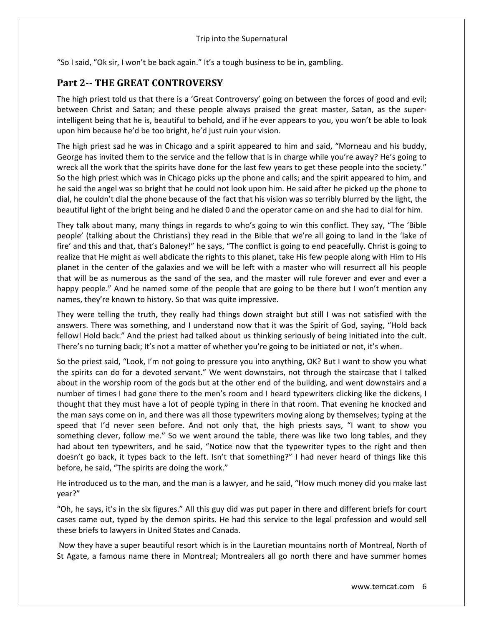"So I said, "Ok sir, I won't be back again." It's a tough business to be in, gambling.

## **Part 2-- THE GREAT CONTROVERSY**

The high priest told us that there is a 'Great Controversy' going on between the forces of good and evil; between Christ and Satan; and these people always praised the great master, Satan, as the superintelligent being that he is, beautiful to behold, and if he ever appears to you, you won't be able to look upon him because he'd be too bright, he'd just ruin your vision.

The high priest sad he was in Chicago and a spirit appeared to him and said, "Morneau and his buddy, George has invited them to the service and the fellow that is in charge while you're away? He's going to wreck all the work that the spirits have done for the last few years to get these people into the society." So the high priest which was in Chicago picks up the phone and calls; and the spirit appeared to him, and he said the angel was so bright that he could not look upon him. He said after he picked up the phone to dial, he couldn't dial the phone because of the fact that his vision was so terribly blurred by the light, the beautiful light of the bright being and he dialed 0 and the operator came on and she had to dial for him.

They talk about many, many things in regards to who's going to win this conflict. They say, "The 'Bible people' (talking about the Christians) they read in the Bible that we're all going to land in the 'lake of fire' and this and that, that's Baloney!" he says, "The conflict is going to end peacefully. Christ is going to realize that He might as well abdicate the rights to this planet, take His few people along with Him to His planet in the center of the galaxies and we will be left with a master who will resurrect all his people that will be as numerous as the sand of the sea, and the master will rule forever and ever and ever a happy people." And he named some of the people that are going to be there but I won't mention any names, they're known to history. So that was quite impressive.

They were telling the truth, they really had things down straight but still I was not satisfied with the answers. There was something, and I understand now that it was the Spirit of God, saying, "Hold back fellow! Hold back." And the priest had talked about us thinking seriously of being initiated into the cult. There's no turning back; It's not a matter of whether you're going to be initiated or not, it's when.

So the priest said, "Look, I'm not going to pressure you into anything, OK? But I want to show you what the spirits can do for a devoted servant." We went downstairs, not through the staircase that I talked about in the worship room of the gods but at the other end of the building, and went downstairs and a number of times I had gone there to the men's room and I heard typewriters clicking like the dickens, I thought that they must have a lot of people typing in there in that room. That evening he knocked and the man says come on in, and there was all those typewriters moving along by themselves; typing at the speed that I'd never seen before. And not only that, the high priests says, "I want to show you something clever, follow me." So we went around the table, there was like two long tables, and they had about ten typewriters, and he said, "Notice now that the typewriter types to the right and then doesn't go back, it types back to the left. Isn't that something?" I had never heard of things like this before, he said, "The spirits are doing the work."

He introduced us to the man, and the man is a lawyer, and he said, "How much money did you make last year?"

"Oh, he says, it's in the six figures." All this guy did was put paper in there and different briefs for court cases came out, typed by the demon spirits. He had this service to the legal profession and would sell these briefs to lawyers in United States and Canada.

Now they have a super beautiful resort which is in the Lauretian mountains north of Montreal, North of St Agate, a famous name there in Montreal; Montrealers all go north there and have summer homes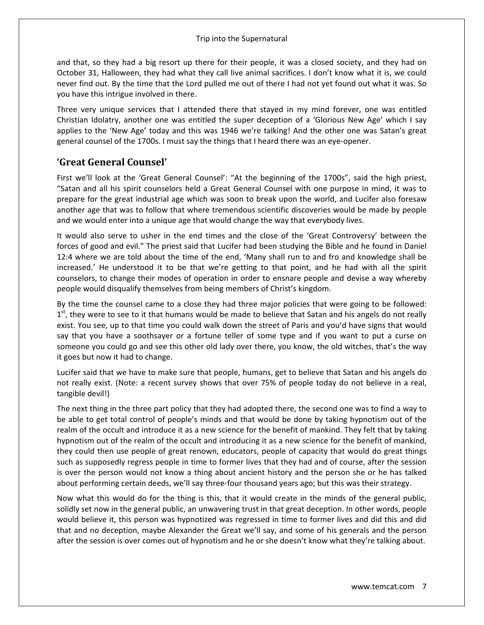and that, so they had a big resort up there for their people, it was a closed society, and they had on October 31, Halloween, they had what they call live animal sacrifices. I don't know what it is, we could never find out. By the time that the Lord pulled me out of there I had not yet found out what it was. So you have this intrigue involved in there.

Three very unique services that I attended there that stayed in my mind forever, one was entitled Christian Idolatry, another one was entitled the super deception of a 'Glorious New Age' which I say applies to the 'New Age' today and this was 1946 we're talking! And the other one was Satan's great general counsel of the 1700s. I must say the things that I heard there was an eye-opener.

### **'Great General Counsel'**

First we'll look at the 'Great General Counsel': "At the beginning of the 1700s", said the high priest, "Satan and all his spirit counselors held a Great General Counsel with one purpose in mind, it was to prepare for the great industrial age which was soon to break upon the world, and Lucifer also foresaw another age that was to follow that where tremendous scientific discoveries would be made by people and we would enter into a unique age that would change the way that everybody lives.

It would also serve to usher in the end times and the close of the 'Great Controversy' between the forces of good and evil." The priest said that Lucifer had been studying the Bible and he found in Daniel 12:4 where we are told about the time of the end, 'Many shall run to and fro and knowledge shall be increased.' He understood it to be that we're getting to that point, and he had with all the spirit counselors, to change their modes of operation in order to ensnare people and devise a way whereby people would disqualify themselves from being members of Christ's kingdom.

By the time the counsel came to a close they had three major policies that were going to be followed:  $1<sup>st</sup>$ , they were to see to it that humans would be made to believe that Satan and his angels do not really exist. You see, up to that time you could walk down the street of Paris and you'd have signs that would say that you have a soothsayer or a fortune teller of some type and if you want to put a curse on someone you could go and see this other old lady over there, you know, the old witches, that's the way it goes but now it had to change.

Lucifer said that we have to make sure that people, humans, get to believe that Satan and his angels do not really exist. (Note: a recent survey shows that over 75% of people today do not believe in a real, tangible devil!)

The next thing in the three part policy that they had adopted there, the second one was to find a way to be able to get total control of people's minds and that would be done by taking hypnotism out of the realm of the occult and introduce it as a new science for the benefit of mankind. They felt that by taking hypnotism out of the realm of the occult and introducing it as a new science for the benefit of mankind, they could then use people of great renown, educators, people of capacity that would do great things such as supposedly regress people in time to former lives that they had and of course, after the session is over the person would not know a thing about ancient history and the person she or he has talked about performing certain deeds, we'll say three-four thousand years ago; but this was their strategy.

Now what this would do for the thing is this, that it would create in the minds of the general public, solidly set now in the general public, an unwavering trust in that great deception. In other words, people would believe it, this person was hypnotized was regressed in time to former lives and did this and did that and no deception, maybe Alexander the Great we'll say, and some of his generals and the person after the session is over comes out of hypnotism and he or she doesn't know what they're talking about.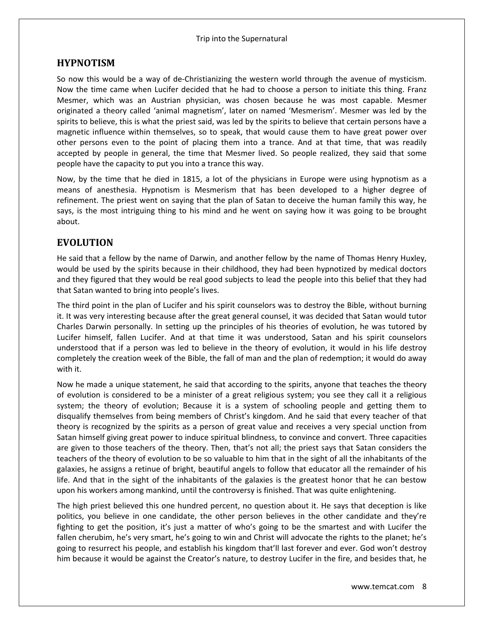### **HYPNOTISM**

So now this would be a way of de-Christianizing the western world through the avenue of mysticism. Now the time came when Lucifer decided that he had to choose a person to initiate this thing. Franz Mesmer, which was an Austrian physician, was chosen because he was most capable. Mesmer originated a theory called 'animal magnetism', later on named 'Mesmerism'. Mesmer was led by the spirits to believe, this is what the priest said, was led by the spirits to believe that certain persons have a magnetic influence within themselves, so to speak, that would cause them to have great power over other persons even to the point of placing them into a trance. And at that time, that was readily accepted by people in general, the time that Mesmer lived. So people realized, they said that some people have the capacity to put you into a trance this way.

Now, by the time that he died in 1815, a lot of the physicians in Europe were using hypnotism as a means of anesthesia. Hypnotism is Mesmerism that has been developed to a higher degree of refinement. The priest went on saying that the plan of Satan to deceive the human family this way, he says, is the most intriguing thing to his mind and he went on saying how it was going to be brought about.

### **EVOLUTION**

He said that a fellow by the name of Darwin, and another fellow by the name of Thomas Henry Huxley, would be used by the spirits because in their childhood, they had been hypnotized by medical doctors and they figured that they would be real good subjects to lead the people into this belief that they had that Satan wanted to bring into people's lives.

The third point in the plan of Lucifer and his spirit counselors was to destroy the Bible, without burning it. It was very interesting because after the great general counsel, it was decided that Satan would tutor Charles Darwin personally. In setting up the principles of his theories of evolution, he was tutored by Lucifer himself, fallen Lucifer. And at that time it was understood, Satan and his spirit counselors understood that if a person was led to believe in the theory of evolution, it would in his life destroy completely the creation week of the Bible, the fall of man and the plan of redemption; it would do away with it.

Now he made a unique statement, he said that according to the spirits, anyone that teaches the theory of evolution is considered to be a minister of a great religious system; you see they call it a religious system; the theory of evolution; Because it is a system of schooling people and getting them to disqualify themselves from being members of Christ's kingdom. And he said that every teacher of that theory is recognized by the spirits as a person of great value and receives a very special unction from Satan himself giving great power to induce spiritual blindness, to convince and convert. Three capacities are given to those teachers of the theory. Then, that's not all; the priest says that Satan considers the teachers of the theory of evolution to be so valuable to him that in the sight of all the inhabitants of the galaxies, he assigns a retinue of bright, beautiful angels to follow that educator all the remainder of his life. And that in the sight of the inhabitants of the galaxies is the greatest honor that he can bestow upon his workers among mankind, until the controversy is finished. That was quite enlightening.

The high priest believed this one hundred percent, no question about it. He says that deception is like politics, you believe in one candidate, the other person believes in the other candidate and they're fighting to get the position, it's just a matter of who's going to be the smartest and with Lucifer the fallen cherubim, he's very smart, he's going to win and Christ will advocate the rights to the planet; he's going to resurrect his people, and establish his kingdom that'll last forever and ever. God won't destroy him because it would be against the Creator's nature, to destroy Lucifer in the fire, and besides that, he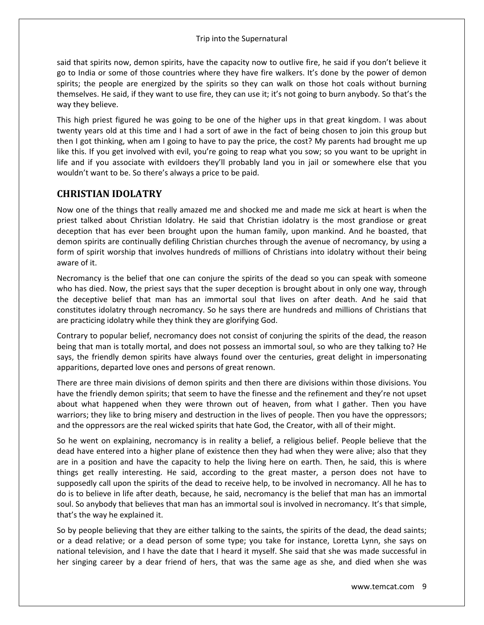said that spirits now, demon spirits, have the capacity now to outlive fire, he said if you don't believe it go to India or some of those countries where they have fire walkers. It's done by the power of demon spirits; the people are energized by the spirits so they can walk on those hot coals without burning themselves. He said, if they want to use fire, they can use it; it's not going to burn anybody. So that's the way they believe.

This high priest figured he was going to be one of the higher ups in that great kingdom. I was about twenty years old at this time and I had a sort of awe in the fact of being chosen to join this group but then I got thinking, when am I going to have to pay the price, the cost? My parents had brought me up like this. If you get involved with evil, you're going to reap what you sow; so you want to be upright in life and if you associate with evildoers they'll probably land you in jail or somewhere else that you wouldn't want to be. So there's always a price to be paid.

### **CHRISTIAN IDOLATRY**

Now one of the things that really amazed me and shocked me and made me sick at heart is when the priest talked about Christian Idolatry. He said that Christian idolatry is the most grandiose or great deception that has ever been brought upon the human family, upon mankind. And he boasted, that demon spirits are continually defiling Christian churches through the avenue of necromancy, by using a form of spirit worship that involves hundreds of millions of Christians into idolatry without their being aware of it.

Necromancy is the belief that one can conjure the spirits of the dead so you can speak with someone who has died. Now, the priest says that the super deception is brought about in only one way, through the deceptive belief that man has an immortal soul that lives on after death. And he said that constitutes idolatry through necromancy. So he says there are hundreds and millions of Christians that are practicing idolatry while they think they are glorifying God.

Contrary to popular belief, necromancy does not consist of conjuring the spirits of the dead, the reason being that man is totally mortal, and does not possess an immortal soul, so who are they talking to? He says, the friendly demon spirits have always found over the centuries, great delight in impersonating apparitions, departed love ones and persons of great renown.

There are three main divisions of demon spirits and then there are divisions within those divisions. You have the friendly demon spirits; that seem to have the finesse and the refinement and they're not upset about what happened when they were thrown out of heaven, from what I gather. Then you have warriors; they like to bring misery and destruction in the lives of people. Then you have the oppressors; and the oppressors are the real wicked spirits that hate God, the Creator, with all of their might.

So he went on explaining, necromancy is in reality a belief, a religious belief. People believe that the dead have entered into a higher plane of existence then they had when they were alive; also that they are in a position and have the capacity to help the living here on earth. Then, he said, this is where things get really interesting. He said, according to the great master, a person does not have to supposedly call upon the spirits of the dead to receive help, to be involved in necromancy. All he has to do is to believe in life after death, because, he said, necromancy is the belief that man has an immortal soul. So anybody that believes that man has an immortal soul is involved in necromancy. It's that simple, that's the way he explained it.

So by people believing that they are either talking to the saints, the spirits of the dead, the dead saints; or a dead relative; or a dead person of some type; you take for instance, Loretta Lynn, she says on national television, and I have the date that I heard it myself. She said that she was made successful in her singing career by a dear friend of hers, that was the same age as she, and died when she was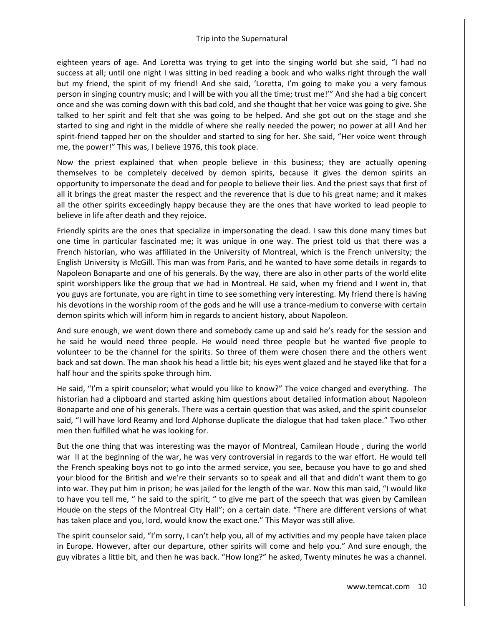eighteen years of age. And Loretta was trying to get into the singing world but she said, "I had no success at all; until one night I was sitting in bed reading a book and who walks right through the wall but my friend, the spirit of my friend! And she said, 'Loretta, I'm going to make you a very famous person in singing country music; and I will be with you all the time; trust me!'" And she had a big concert once and she was coming down with this bad cold, and she thought that her voice was going to give. She talked to her spirit and felt that she was going to be helped. And she got out on the stage and she started to sing and right in the middle of where she really needed the power; no power at all! And her spirit-friend tapped her on the shoulder and started to sing for her. She said, "Her voice went through me, the power!" This was, I believe 1976, this took place.

Now the priest explained that when people believe in this business; they are actually opening themselves to be completely deceived by demon spirits, because it gives the demon spirits an opportunity to impersonate the dead and for people to believe their lies. And the priest says that first of all it brings the great master the respect and the reverence that is due to his great name; and it makes all the other spirits exceedingly happy because they are the ones that have worked to lead people to believe in life after death and they rejoice.

Friendly spirits are the ones that specialize in impersonating the dead. I saw this done many times but one time in particular fascinated me; it was unique in one way. The priest told us that there was a French historian, who was affiliated in the University of Montreal, which is the French university; the English University is McGill. This man was from Paris, and he wanted to have some details in regards to Napoleon Bonaparte and one of his generals. By the way, there are also in other parts of the world elite spirit worshippers like the group that we had in Montreal. He said, when my friend and I went in, that you guys are fortunate, you are right in time to see something very interesting. My friend there is having his devotions in the worship room of the gods and he will use a trance-medium to converse with certain demon spirits which will inform him in regards to ancient history, about Napoleon.

And sure enough, we went down there and somebody came up and said he's ready for the session and he said he would need three people. He would need three people but he wanted five people to volunteer to be the channel for the spirits. So three of them were chosen there and the others went back and sat down. The man shook his head a little bit; his eyes went glazed and he stayed like that for a half hour and the spirits spoke through him.

He said, "I'm a spirit counselor; what would you like to know?" The voice changed and everything. The historian had a clipboard and started asking him questions about detailed information about Napoleon Bonaparte and one of his generals. There was a certain question that was asked, and the spirit counselor said, "I will have lord Reamy and lord Alphonse duplicate the dialogue that had taken place." Two other men then fulfilled what he was looking for.

But the one thing that was interesting was the mayor of Montreal, Camilean Houde , during the world war II at the beginning of the war, he was very controversial in regards to the war effort. He would tell the French speaking boys not to go into the armed service, you see, because you have to go and shed your blood for the British and we're their servants so to speak and all that and didn't want them to go into war. They put him in prison; he was jailed for the length of the war. Now this man said, "I would like to have you tell me, " he said to the spirit, " to give me part of the speech that was given by Camilean Houde on the steps of the Montreal City Hall"; on a certain date. "There are different versions of what has taken place and you, lord, would know the exact one." This Mayor was still alive.

The spirit counselor said, "I'm sorry, I can't help you, all of my activities and my people have taken place in Europe. However, after our departure, other spirits will come and help you." And sure enough, the guy vibrates a little bit, and then he was back. "How long?" he asked, Twenty minutes he was a channel.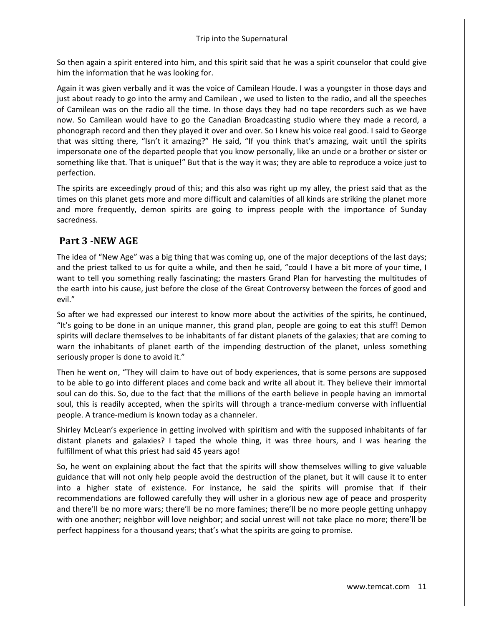So then again a spirit entered into him, and this spirit said that he was a spirit counselor that could give him the information that he was looking for.

Again it was given verbally and it was the voice of Camilean Houde. I was a youngster in those days and just about ready to go into the army and Camilean , we used to listen to the radio, and all the speeches of Camilean was on the radio all the time. In those days they had no tape recorders such as we have now. So Camilean would have to go the Canadian Broadcasting studio where they made a record, a phonograph record and then they played it over and over. So I knew his voice real good. I said to George that was sitting there, "Isn't it amazing?" He said, "If you think that's amazing, wait until the spirits impersonate one of the departed people that you know personally, like an uncle or a brother or sister or something like that. That is unique!" But that is the way it was; they are able to reproduce a voice just to perfection.

The spirits are exceedingly proud of this; and this also was right up my alley, the priest said that as the times on this planet gets more and more difficult and calamities of all kinds are striking the planet more and more frequently, demon spirits are going to impress people with the importance of Sunday sacredness.

### **Part 3 -NEW AGE**

The idea of "New Age" was a big thing that was coming up, one of the major deceptions of the last days; and the priest talked to us for quite a while, and then he said, "could I have a bit more of your time, I want to tell you something really fascinating; the masters Grand Plan for harvesting the multitudes of the earth into his cause, just before the close of the Great Controversy between the forces of good and evil."

So after we had expressed our interest to know more about the activities of the spirits, he continued, "It's going to be done in an unique manner, this grand plan, people are going to eat this stuff! Demon spirits will declare themselves to be inhabitants of far distant planets of the galaxies; that are coming to warn the inhabitants of planet earth of the impending destruction of the planet, unless something seriously proper is done to avoid it."

Then he went on, "They will claim to have out of body experiences, that is some persons are supposed to be able to go into different places and come back and write all about it. They believe their immortal soul can do this. So, due to the fact that the millions of the earth believe in people having an immortal soul, this is readily accepted, when the spirits will through a trance-medium converse with influential people. A trance-medium is known today as a channeler.

Shirley McLean's experience in getting involved with spiritism and with the supposed inhabitants of far distant planets and galaxies? I taped the whole thing, it was three hours, and I was hearing the fulfillment of what this priest had said 45 years ago!

So, he went on explaining about the fact that the spirits will show themselves willing to give valuable guidance that will not only help people avoid the destruction of the planet, but it will cause it to enter into a higher state of existence. For instance, he said the spirits will promise that if their recommendations are followed carefully they will usher in a glorious new age of peace and prosperity and there'll be no more wars; there'll be no more famines; there'll be no more people getting unhappy with one another; neighbor will love neighbor; and social unrest will not take place no more; there'll be perfect happiness for a thousand years; that's what the spirits are going to promise.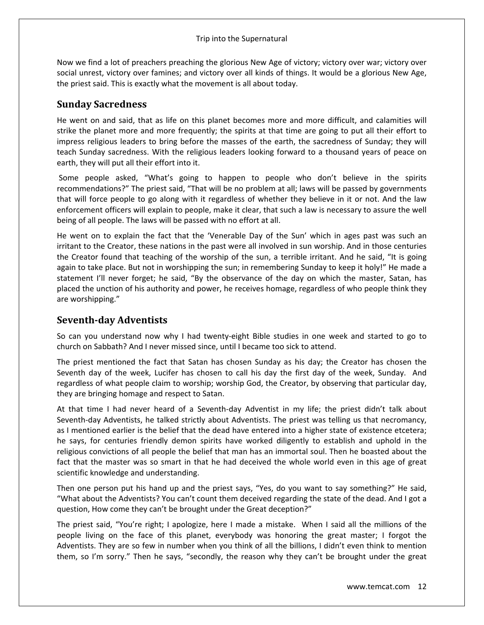Now we find a lot of preachers preaching the glorious New Age of victory; victory over war; victory over social unrest, victory over famines; and victory over all kinds of things. It would be a glorious New Age, the priest said. This is exactly what the movement is all about today.

### **Sunday Sacredness**

He went on and said, that as life on this planet becomes more and more difficult, and calamities will strike the planet more and more frequently; the spirits at that time are going to put all their effort to impress religious leaders to bring before the masses of the earth, the sacredness of Sunday; they will teach Sunday sacredness. With the religious leaders looking forward to a thousand years of peace on earth, they will put all their effort into it.

Some people asked, "What's going to happen to people who don't believe in the spirits recommendations?" The priest said, "That will be no problem at all; laws will be passed by governments that will force people to go along with it regardless of whether they believe in it or not. And the law enforcement officers will explain to people, make it clear, that such a law is necessary to assure the well being of all people. The laws will be passed with no effort at all.

He went on to explain the fact that the 'Venerable Day of the Sun' which in ages past was such an irritant to the Creator, these nations in the past were all involved in sun worship. And in those centuries the Creator found that teaching of the worship of the sun, a terrible irritant. And he said, "It is going again to take place. But not in worshipping the sun; in remembering Sunday to keep it holy!" He made a statement I'll never forget; he said, "By the observance of the day on which the master, Satan, has placed the unction of his authority and power, he receives homage, regardless of who people think they are worshipping."

### **Seventh-day Adventists**

So can you understand now why I had twenty-eight Bible studies in one week and started to go to church on Sabbath? And I never missed since, until I became too sick to attend.

The priest mentioned the fact that Satan has chosen Sunday as his day; the Creator has chosen the Seventh day of the week, Lucifer has chosen to call his day the first day of the week, Sunday. And regardless of what people claim to worship; worship God, the Creator, by observing that particular day, they are bringing homage and respect to Satan.

At that time I had never heard of a Seventh-day Adventist in my life; the priest didn't talk about Seventh-day Adventists, he talked strictly about Adventists. The priest was telling us that necromancy, as I mentioned earlier is the belief that the dead have entered into a higher state of existence etcetera; he says, for centuries friendly demon spirits have worked diligently to establish and uphold in the religious convictions of all people the belief that man has an immortal soul. Then he boasted about the fact that the master was so smart in that he had deceived the whole world even in this age of great scientific knowledge and understanding.

Then one person put his hand up and the priest says, "Yes, do you want to say something?" He said, "What about the Adventists? You can't count them deceived regarding the state of the dead. And I got a question, How come they can't be brought under the Great deception?"

The priest said, "You're right; I apologize, here I made a mistake. When I said all the millions of the people living on the face of this planet, everybody was honoring the great master; I forgot the Adventists. They are so few in number when you think of all the billions, I didn't even think to mention them, so I'm sorry." Then he says, "secondly, the reason why they can't be brought under the great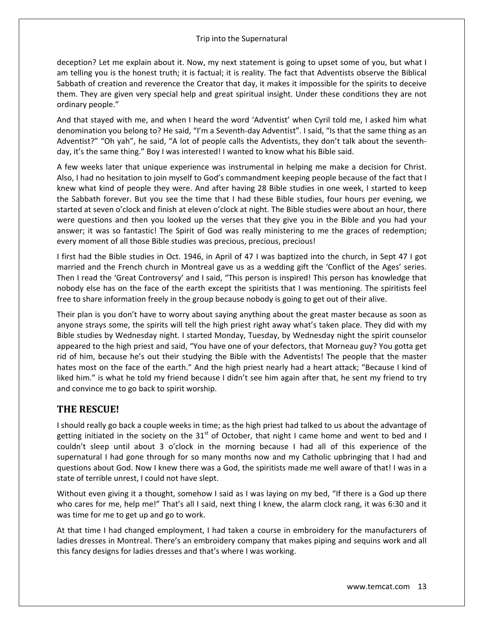deception? Let me explain about it. Now, my next statement is going to upset some of you, but what I am telling you is the honest truth; it is factual; it is reality. The fact that Adventists observe the Biblical Sabbath of creation and reverence the Creator that day, it makes it impossible for the spirits to deceive them. They are given very special help and great spiritual insight. Under these conditions they are not ordinary people."

And that stayed with me, and when I heard the word 'Adventist' when Cyril told me, I asked him what denomination you belong to? He said, "I'm a Seventh-day Adventist". I said, "Is that the same thing as an Adventist?" "Oh yah", he said, "A lot of people calls the Adventists, they don't talk about the seventhday, it's the same thing." Boy I was interested! I wanted to know what his Bible said.

A few weeks later that unique experience was instrumental in helping me make a decision for Christ. Also, I had no hesitation to join myself to God's commandment keeping people because of the fact that I knew what kind of people they were. And after having 28 Bible studies in one week, I started to keep the Sabbath forever. But you see the time that I had these Bible studies, four hours per evening, we started at seven o'clock and finish at eleven o'clock at night. The Bible studies were about an hour, there were questions and then you looked up the verses that they give you in the Bible and you had your answer; it was so fantastic! The Spirit of God was really ministering to me the graces of redemption; every moment of all those Bible studies was precious, precious, precious!

I first had the Bible studies in Oct. 1946, in April of 47 I was baptized into the church, in Sept 47 I got married and the French church in Montreal gave us as a wedding gift the 'Conflict of the Ages' series. Then I read the 'Great Controversy' and I said, "This person is inspired! This person has knowledge that nobody else has on the face of the earth except the spiritists that I was mentioning. The spiritists feel free to share information freely in the group because nobody is going to get out of their alive.

Their plan is you don't have to worry about saying anything about the great master because as soon as anyone strays some, the spirits will tell the high priest right away what's taken place. They did with my Bible studies by Wednesday night. I started Monday, Tuesday, by Wednesday night the spirit counselor appeared to the high priest and said, "You have one of your defectors, that Morneau guy? You gotta get rid of him, because he's out their studying the Bible with the Adventists! The people that the master hates most on the face of the earth." And the high priest nearly had a heart attack; "Because I kind of liked him." is what he told my friend because I didn't see him again after that, he sent my friend to try and convince me to go back to spirit worship.

### **THE RESCUE!**

I should really go back a couple weeks in time; as the high priest had talked to us about the advantage of getting initiated in the society on the  $31<sup>st</sup>$  of October, that night I came home and went to bed and I couldn't sleep until about 3 o'clock in the morning because I had all of this experience of the supernatural I had gone through for so many months now and my Catholic upbringing that I had and questions about God. Now I knew there was a God, the spiritists made me well aware of that! I was in a state of terrible unrest, I could not have slept.

Without even giving it a thought, somehow I said as I was laying on my bed, "If there is a God up there who cares for me, help me!" That's all I said, next thing I knew, the alarm clock rang, it was 6:30 and it was time for me to get up and go to work.

At that time I had changed employment, I had taken a course in embroidery for the manufacturers of ladies dresses in Montreal. There's an embroidery company that makes piping and sequins work and all this fancy designs for ladies dresses and that's where I was working.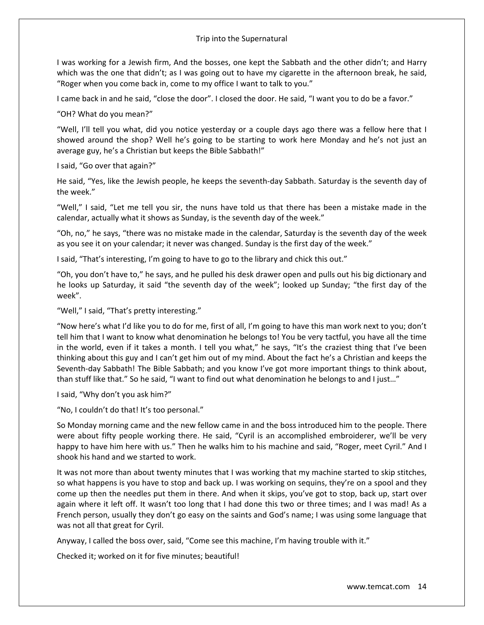I was working for a Jewish firm, And the bosses, one kept the Sabbath and the other didn't; and Harry which was the one that didn't; as I was going out to have my cigarette in the afternoon break, he said, "Roger when you come back in, come to my office I want to talk to you."

I came back in and he said, "close the door". I closed the door. He said, "I want you to do be a favor."

"OH? What do you mean?"

"Well, I'll tell you what, did you notice yesterday or a couple days ago there was a fellow here that I showed around the shop? Well he's going to be starting to work here Monday and he's not just an average guy, he's a Christian but keeps the Bible Sabbath!"

I said, "Go over that again?"

He said, "Yes, like the Jewish people, he keeps the seventh-day Sabbath. Saturday is the seventh day of the week."

"Well," I said, "Let me tell you sir, the nuns have told us that there has been a mistake made in the calendar, actually what it shows as Sunday, is the seventh day of the week."

"Oh, no," he says, "there was no mistake made in the calendar, Saturday is the seventh day of the week as you see it on your calendar; it never was changed. Sunday is the first day of the week."

I said, "That's interesting, I'm going to have to go to the library and chick this out."

"Oh, you don't have to," he says, and he pulled his desk drawer open and pulls out his big dictionary and he looks up Saturday, it said "the seventh day of the week"; looked up Sunday; "the first day of the week".

"Well," I said, "That's pretty interesting."

"Now here's what I'd like you to do for me, first of all, I'm going to have this man work next to you; don't tell him that I want to know what denomination he belongs to! You be very tactful, you have all the time in the world, even if it takes a month. I tell you what," he says, "It's the craziest thing that I've been thinking about this guy and I can't get him out of my mind. About the fact he's a Christian and keeps the Seventh-day Sabbath! The Bible Sabbath; and you know I've got more important things to think about, than stuff like that." So he said, "I want to find out what denomination he belongs to and I just…"

I said, "Why don't you ask him?"

"No, I couldn't do that! It's too personal."

So Monday morning came and the new fellow came in and the boss introduced him to the people. There were about fifty people working there. He said, "Cyril is an accomplished embroiderer, we'll be very happy to have him here with us." Then he walks him to his machine and said, "Roger, meet Cyril." And I shook his hand and we started to work.

It was not more than about twenty minutes that I was working that my machine started to skip stitches, so what happens is you have to stop and back up. I was working on sequins, they're on a spool and they come up then the needles put them in there. And when it skips, you've got to stop, back up, start over again where it left off. It wasn't too long that I had done this two or three times; and I was mad! As a French person, usually they don't go easy on the saints and God's name; I was using some language that was not all that great for Cyril.

Anyway, I called the boss over, said, "Come see this machine, I'm having trouble with it."

Checked it; worked on it for five minutes; beautiful!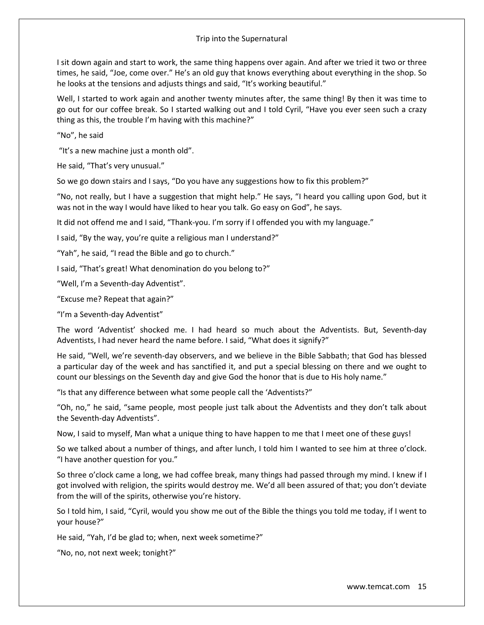I sit down again and start to work, the same thing happens over again. And after we tried it two or three times, he said, "Joe, come over." He's an old guy that knows everything about everything in the shop. So he looks at the tensions and adjusts things and said, "It's working beautiful."

Well, I started to work again and another twenty minutes after, the same thing! By then it was time to go out for our coffee break. So I started walking out and I told Cyril, "Have you ever seen such a crazy thing as this, the trouble I'm having with this machine?"

"No", he said

"It's a new machine just a month old".

He said, "That's very unusual."

So we go down stairs and I says, "Do you have any suggestions how to fix this problem?"

"No, not really, but I have a suggestion that might help." He says, "I heard you calling upon God, but it was not in the way I would have liked to hear you talk. Go easy on God", he says.

It did not offend me and I said, "Thank-you. I'm sorry if I offended you with my language."

I said, "By the way, you're quite a religious man I understand?"

"Yah", he said, "I read the Bible and go to church."

I said, "That's great! What denomination do you belong to?"

"Well, I'm a Seventh-day Adventist".

"Excuse me? Repeat that again?"

"I'm a Seventh-day Adventist"

The word 'Adventist' shocked me. I had heard so much about the Adventists. But, Seventh-day Adventists, I had never heard the name before. I said, "What does it signify?"

He said, "Well, we're seventh-day observers, and we believe in the Bible Sabbath; that God has blessed a particular day of the week and has sanctified it, and put a special blessing on there and we ought to count our blessings on the Seventh day and give God the honor that is due to His holy name."

"Is that any difference between what some people call the 'Adventists?"

"Oh, no," he said, "same people, most people just talk about the Adventists and they don't talk about the Seventh-day Adventists".

Now, I said to myself, Man what a unique thing to have happen to me that I meet one of these guys!

So we talked about a number of things, and after lunch, I told him I wanted to see him at three o'clock. "I have another question for you."

So three o'clock came a long, we had coffee break, many things had passed through my mind. I knew if I got involved with religion, the spirits would destroy me. We'd all been assured of that; you don't deviate from the will of the spirits, otherwise you're history.

So I told him, I said, "Cyril, would you show me out of the Bible the things you told me today, if I went to your house?"

He said, "Yah, I'd be glad to; when, next week sometime?"

"No, no, not next week; tonight?"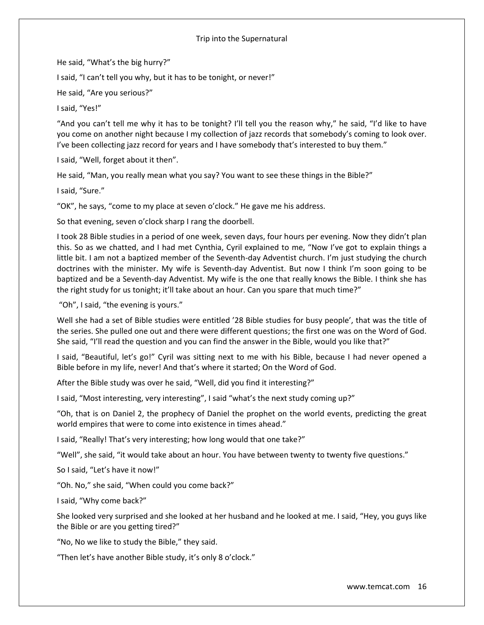He said, "What's the big hurry?"

I said, "I can't tell you why, but it has to be tonight, or never!"

He said, "Are you serious?"

I said, "Yes!"

"And you can't tell me why it has to be tonight? I'll tell you the reason why," he said, "I'd like to have you come on another night because I my collection of jazz records that somebody's coming to look over. I've been collecting jazz record for years and I have somebody that's interested to buy them."

I said, "Well, forget about it then".

He said, "Man, you really mean what you say? You want to see these things in the Bible?"

I said, "Sure."

"OK", he says, "come to my place at seven o'clock." He gave me his address.

So that evening, seven o'clock sharp I rang the doorbell.

I took 28 Bible studies in a period of one week, seven days, four hours per evening. Now they didn't plan this. So as we chatted, and I had met Cynthia, Cyril explained to me, "Now I've got to explain things a little bit. I am not a baptized member of the Seventh-day Adventist church. I'm just studying the church doctrines with the minister. My wife is Seventh-day Adventist. But now I think I'm soon going to be baptized and be a Seventh-day Adventist. My wife is the one that really knows the Bible. I think she has the right study for us tonight; it'll take about an hour. Can you spare that much time?"

"Oh", I said, "the evening is yours."

Well she had a set of Bible studies were entitled '28 Bible studies for busy people', that was the title of the series. She pulled one out and there were different questions; the first one was on the Word of God. She said, "I'll read the question and you can find the answer in the Bible, would you like that?"

I said, "Beautiful, let's go!" Cyril was sitting next to me with his Bible, because I had never opened a Bible before in my life, never! And that's where it started; On the Word of God.

After the Bible study was over he said, "Well, did you find it interesting?"

I said, "Most interesting, very interesting", I said "what's the next study coming up?"

"Oh, that is on Daniel 2, the prophecy of Daniel the prophet on the world events, predicting the great world empires that were to come into existence in times ahead."

I said, "Really! That's very interesting; how long would that one take?"

"Well", she said, "it would take about an hour. You have between twenty to twenty five questions."

So I said, "Let's have it now!"

"Oh. No," she said, "When could you come back?"

I said, "Why come back?"

She looked very surprised and she looked at her husband and he looked at me. I said, "Hey, you guys like the Bible or are you getting tired?"

"No, No we like to study the Bible," they said.

"Then let's have another Bible study, it's only 8 o'clock."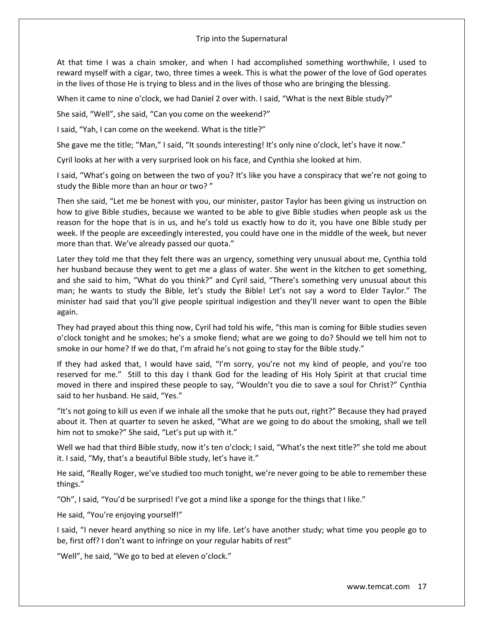At that time I was a chain smoker, and when I had accomplished something worthwhile, I used to reward myself with a cigar, two, three times a week. This is what the power of the love of God operates in the lives of those He is trying to bless and in the lives of those who are bringing the blessing.

When it came to nine o'clock, we had Daniel 2 over with. I said, "What is the next Bible study?"

She said, "Well", she said, "Can you come on the weekend?"

I said, "Yah, I can come on the weekend. What is the title?"

She gave me the title; "Man," I said, "It sounds interesting! It's only nine o'clock, let's have it now."

Cyril looks at her with a very surprised look on his face, and Cynthia she looked at him.

I said, "What's going on between the two of you? It's like you have a conspiracy that we're not going to study the Bible more than an hour or two? "

Then she said, "Let me be honest with you, our minister, pastor Taylor has been giving us instruction on how to give Bible studies, because we wanted to be able to give Bible studies when people ask us the reason for the hope that is in us, and he's told us exactly how to do it, you have one Bible study per week. If the people are exceedingly interested, you could have one in the middle of the week, but never more than that. We've already passed our quota."

Later they told me that they felt there was an urgency, something very unusual about me, Cynthia told her husband because they went to get me a glass of water. She went in the kitchen to get something, and she said to him, "What do you think?" and Cyril said, "There's something very unusual about this man; he wants to study the Bible, let's study the Bible! Let's not say a word to Elder Taylor." The minister had said that you'll give people spiritual indigestion and they'll never want to open the Bible again.

They had prayed about this thing now, Cyril had told his wife, "this man is coming for Bible studies seven o'clock tonight and he smokes; he's a smoke fiend; what are we going to do? Should we tell him not to smoke in our home? If we do that, I'm afraid he's not going to stay for the Bible study."

If they had asked that, I would have said, "I'm sorry, you're not my kind of people, and you're too reserved for me." Still to this day I thank God for the leading of His Holy Spirit at that crucial time moved in there and inspired these people to say, "Wouldn't you die to save a soul for Christ?" Cynthia said to her husband. He said, "Yes."

"It's not going to kill us even if we inhale all the smoke that he puts out, right?" Because they had prayed about it. Then at quarter to seven he asked, "What are we going to do about the smoking, shall we tell him not to smoke?" She said, "Let's put up with it."

Well we had that third Bible study, now it's ten o'clock; I said, "What's the next title?" she told me about it. I said, "My, that's a beautiful Bible study, let's have it."

He said, "Really Roger, we've studied too much tonight, we're never going to be able to remember these things."

"Oh", I said, "You'd be surprised! I've got a mind like a sponge for the things that I like."

He said, "You're enjoying yourself!"

I said, "I never heard anything so nice in my life. Let's have another study; what time you people go to be, first off? I don't want to infringe on your regular habits of rest"

"Well", he said, "We go to bed at eleven o'clock."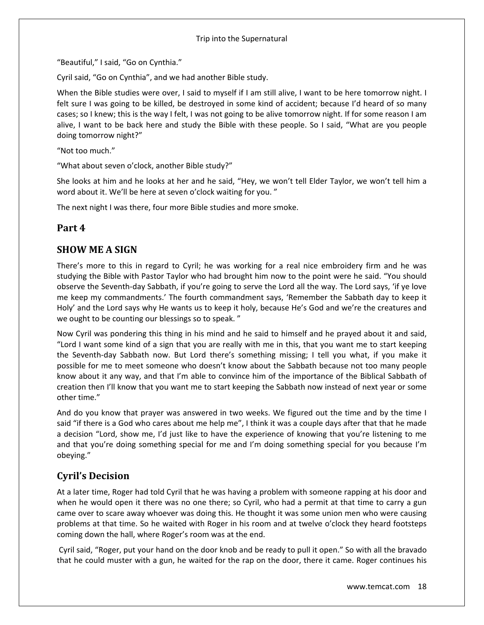"Beautiful," I said, "Go on Cynthia."

Cyril said, "Go on Cynthia", and we had another Bible study.

When the Bible studies were over, I said to myself if I am still alive, I want to be here tomorrow night. I felt sure I was going to be killed, be destroyed in some kind of accident; because I'd heard of so many cases; so I knew; this is the way I felt, I was not going to be alive tomorrow night. If for some reason I am alive, I want to be back here and study the Bible with these people. So I said, "What are you people doing tomorrow night?"

"Not too much."

"What about seven o'clock, another Bible study?"

She looks at him and he looks at her and he said, "Hey, we won't tell Elder Taylor, we won't tell him a word about it. We'll be here at seven o'clock waiting for you. "

The next night I was there, four more Bible studies and more smoke.

### **Part 4**

### **SHOW ME A SIGN**

There's more to this in regard to Cyril; he was working for a real nice embroidery firm and he was studying the Bible with Pastor Taylor who had brought him now to the point were he said. "You should observe the Seventh-day Sabbath, if you're going to serve the Lord all the way. The Lord says, 'if ye love me keep my commandments.' The fourth commandment says, 'Remember the Sabbath day to keep it Holy' and the Lord says why He wants us to keep it holy, because He's God and we're the creatures and we ought to be counting our blessings so to speak. "

Now Cyril was pondering this thing in his mind and he said to himself and he prayed about it and said, "Lord I want some kind of a sign that you are really with me in this, that you want me to start keeping the Seventh-day Sabbath now. But Lord there's something missing; I tell you what, if you make it possible for me to meet someone who doesn't know about the Sabbath because not too many people know about it any way, and that I'm able to convince him of the importance of the Biblical Sabbath of creation then I'll know that you want me to start keeping the Sabbath now instead of next year or some other time."

And do you know that prayer was answered in two weeks. We figured out the time and by the time I said "if there is a God who cares about me help me", I think it was a couple days after that that he made a decision "Lord, show me, I'd just like to have the experience of knowing that you're listening to me and that you're doing something special for me and I'm doing something special for you because I'm obeying."

# **Cyril's Decision**

At a later time, Roger had told Cyril that he was having a problem with someone rapping at his door and when he would open it there was no one there; so Cyril, who had a permit at that time to carry a gun came over to scare away whoever was doing this. He thought it was some union men who were causing problems at that time. So he waited with Roger in his room and at twelve o'clock they heard footsteps coming down the hall, where Roger's room was at the end.

Cyril said, "Roger, put your hand on the door knob and be ready to pull it open." So with all the bravado that he could muster with a gun, he waited for the rap on the door, there it came. Roger continues his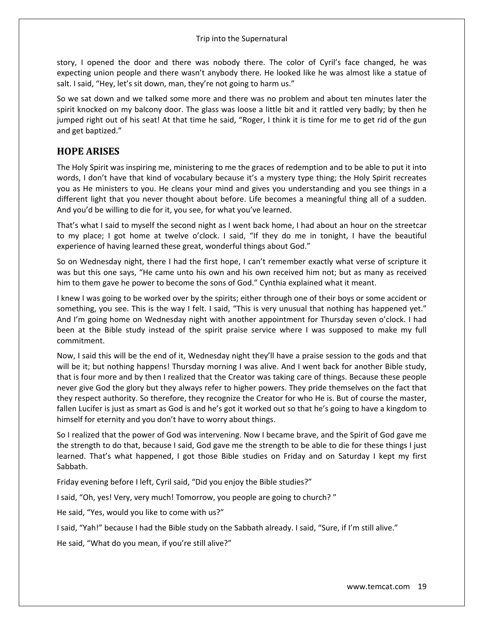story, I opened the door and there was nobody there. The color of Cyril's face changed, he was expecting union people and there wasn't anybody there. He looked like he was almost like a statue of salt. I said, "Hey, let's sit down, man, they're not going to harm us."

So we sat down and we talked some more and there was no problem and about ten minutes later the spirit knocked on my balcony door. The glass was loose a little bit and it rattled very badly; by then he jumped right out of his seat! At that time he said, "Roger, I think it is time for me to get rid of the gun and get baptized."

### **HOPE ARISES**

The Holy Spirit was inspiring me, ministering to me the graces of redemption and to be able to put it into words, I don't have that kind of vocabulary because it's a mystery type thing; the Holy Spirit recreates you as He ministers to you. He cleans your mind and gives you understanding and you see things in a different light that you never thought about before. Life becomes a meaningful thing all of a sudden. And you'd be willing to die for it, you see, for what you've learned.

That's what I said to myself the second night as I went back home, I had about an hour on the streetcar to my place; I got home at twelve o'clock. I said, "If they do me in tonight, I have the beautiful experience of having learned these great, wonderful things about God."

So on Wednesday night, there I had the first hope, I can't remember exactly what verse of scripture it was but this one says, "He came unto his own and his own received him not; but as many as received him to them gave he power to become the sons of God." Cynthia explained what it meant.

I knew I was going to be worked over by the spirits; either through one of their boys or some accident or something, you see. This is the way I felt. I said, "This is very unusual that nothing has happened yet." And I'm going home on Wednesday night with another appointment for Thursday seven o'clock. I had been at the Bible study instead of the spirit praise service where I was supposed to make my full commitment.

Now, I said this will be the end of it, Wednesday night they'll have a praise session to the gods and that will be it; but nothing happens! Thursday morning I was alive. And I went back for another Bible study, that is four more and by then I realized that the Creator was taking care of things. Because these people never give God the glory but they always refer to higher powers. They pride themselves on the fact that they respect authority. So therefore, they recognize the Creator for who He is. But of course the master, fallen Lucifer is just as smart as God is and he's got it worked out so that he's going to have a kingdom to himself for eternity and you don't have to worry about things.

So I realized that the power of God was intervening. Now I became brave, and the Spirit of God gave me the strength to do that, because I said, God gave me the strength to be able to die for these things I just learned. That's what happened, I got those Bible studies on Friday and on Saturday I kept my first Sabbath.

Friday evening before I left, Cyril said, "Did you enjoy the Bible studies?"

I said, "Oh, yes! Very, very much! Tomorrow, you people are going to church? "

He said, "Yes, would you like to come with us?"

I said, "Yah!" because I had the Bible study on the Sabbath already. I said, "Sure, if I'm still alive."

He said, "What do you mean, if you're still alive?"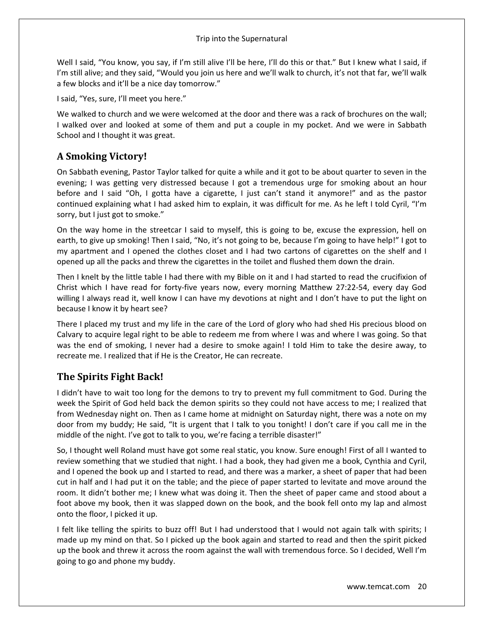Well I said, "You know, you say, if I'm still alive I'll be here, I'll do this or that." But I knew what I said, if I'm still alive; and they said, "Would you join us here and we'll walk to church, it's not that far, we'll walk a few blocks and it'll be a nice day tomorrow."

I said, "Yes, sure, I'll meet you here."

We walked to church and we were welcomed at the door and there was a rack of brochures on the wall; I walked over and looked at some of them and put a couple in my pocket. And we were in Sabbath School and I thought it was great.

### **A Smoking Victory!**

On Sabbath evening, Pastor Taylor talked for quite a while and it got to be about quarter to seven in the evening; I was getting very distressed because I got a tremendous urge for smoking about an hour before and I said "Oh, I gotta have a cigarette, I just can't stand it anymore!" and as the pastor continued explaining what I had asked him to explain, it was difficult for me. As he left I told Cyril, "I'm sorry, but I just got to smoke."

On the way home in the streetcar I said to myself, this is going to be, excuse the expression, hell on earth, to give up smoking! Then I said, "No, it's not going to be, because I'm going to have help!" I got to my apartment and I opened the clothes closet and I had two cartons of cigarettes on the shelf and I opened up all the packs and threw the cigarettes in the toilet and flushed them down the drain.

Then I knelt by the little table I had there with my Bible on it and I had started to read the crucifixion of Christ which I have read for forty-five years now, every morning Matthew 27:22-54, every day God willing I always read it, well know I can have my devotions at night and I don't have to put the light on because I know it by heart see?

There I placed my trust and my life in the care of the Lord of glory who had shed His precious blood on Calvary to acquire legal right to be able to redeem me from where I was and where I was going. So that was the end of smoking, I never had a desire to smoke again! I told Him to take the desire away, to recreate me. I realized that if He is the Creator, He can recreate.

### **The Spirits Fight Back!**

I didn't have to wait too long for the demons to try to prevent my full commitment to God. During the week the Spirit of God held back the demon spirits so they could not have access to me; I realized that from Wednesday night on. Then as I came home at midnight on Saturday night, there was a note on my door from my buddy; He said, "It is urgent that I talk to you tonight! I don't care if you call me in the middle of the night. I've got to talk to you, we're facing a terrible disaster!"

So, I thought well Roland must have got some real static, you know. Sure enough! First of all I wanted to review something that we studied that night. I had a book, they had given me a book, Cynthia and Cyril, and I opened the book up and I started to read, and there was a marker, a sheet of paper that had been cut in half and I had put it on the table; and the piece of paper started to levitate and move around the room. It didn't bother me; I knew what was doing it. Then the sheet of paper came and stood about a foot above my book, then it was slapped down on the book, and the book fell onto my lap and almost onto the floor, I picked it up.

I felt like telling the spirits to buzz off! But I had understood that I would not again talk with spirits; I made up my mind on that. So I picked up the book again and started to read and then the spirit picked up the book and threw it across the room against the wall with tremendous force. So I decided, Well I'm going to go and phone my buddy.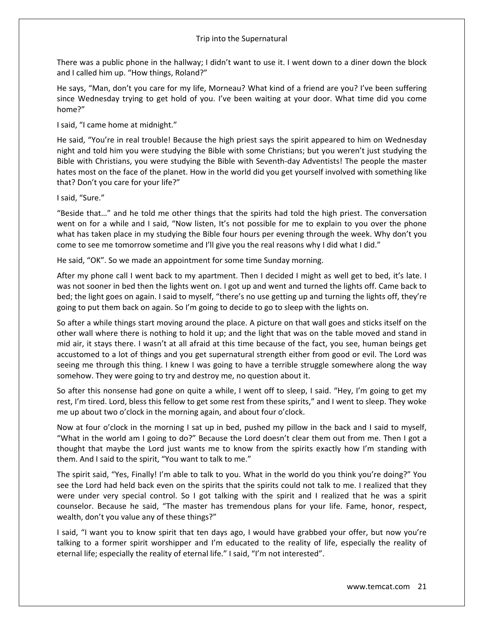There was a public phone in the hallway; I didn't want to use it. I went down to a diner down the block and I called him up. "How things, Roland?"

He says, "Man, don't you care for my life, Morneau? What kind of a friend are you? I've been suffering since Wednesday trying to get hold of you. I've been waiting at your door. What time did you come home?"

I said, "I came home at midnight."

He said, "You're in real trouble! Because the high priest says the spirit appeared to him on Wednesday night and told him you were studying the Bible with some Christians; but you weren't just studying the Bible with Christians, you were studying the Bible with Seventh-day Adventists! The people the master hates most on the face of the planet. How in the world did you get yourself involved with something like that? Don't you care for your life?"

I said, "Sure."

"Beside that…" and he told me other things that the spirits had told the high priest. The conversation went on for a while and I said, "Now listen, It's not possible for me to explain to you over the phone what has taken place in my studying the Bible four hours per evening through the week. Why don't you come to see me tomorrow sometime and I'll give you the real reasons why I did what I did."

He said, "OK". So we made an appointment for some time Sunday morning.

After my phone call I went back to my apartment. Then I decided I might as well get to bed, it's late. I was not sooner in bed then the lights went on. I got up and went and turned the lights off. Came back to bed; the light goes on again. I said to myself, "there's no use getting up and turning the lights off, they're going to put them back on again. So I'm going to decide to go to sleep with the lights on.

So after a while things start moving around the place. A picture on that wall goes and sticks itself on the other wall where there is nothing to hold it up; and the light that was on the table moved and stand in mid air, it stays there. I wasn't at all afraid at this time because of the fact, you see, human beings get accustomed to a lot of things and you get supernatural strength either from good or evil. The Lord was seeing me through this thing. I knew I was going to have a terrible struggle somewhere along the way somehow. They were going to try and destroy me, no question about it.

So after this nonsense had gone on quite a while, I went off to sleep, I said. "Hey, I'm going to get my rest, I'm tired. Lord, bless this fellow to get some rest from these spirits," and I went to sleep. They woke me up about two o'clock in the morning again, and about four o'clock.

Now at four o'clock in the morning I sat up in bed, pushed my pillow in the back and I said to myself, "What in the world am I going to do?" Because the Lord doesn't clear them out from me. Then I got a thought that maybe the Lord just wants me to know from the spirits exactly how I'm standing with them. And I said to the spirit, "You want to talk to me."

The spirit said, "Yes, Finally! I'm able to talk to you. What in the world do you think you're doing?" You see the Lord had held back even on the spirits that the spirits could not talk to me. I realized that they were under very special control. So I got talking with the spirit and I realized that he was a spirit counselor. Because he said, "The master has tremendous plans for your life. Fame, honor, respect, wealth, don't you value any of these things?"

I said, "I want you to know spirit that ten days ago, I would have grabbed your offer, but now you're talking to a former spirit worshipper and I'm educated to the reality of life, especially the reality of eternal life; especially the reality of eternal life." I said, "I'm not interested".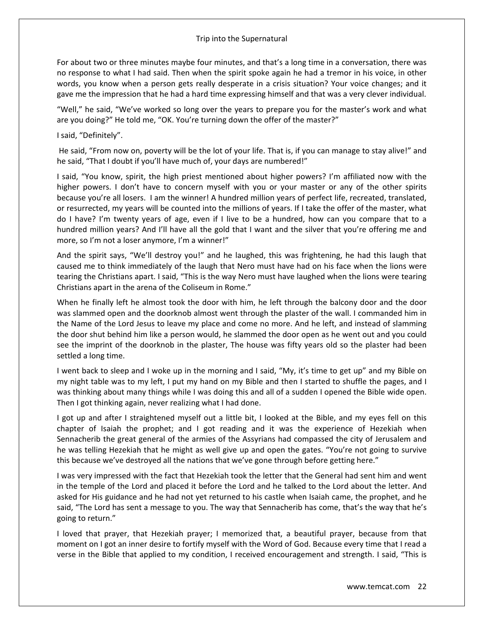For about two or three minutes maybe four minutes, and that's a long time in a conversation, there was no response to what I had said. Then when the spirit spoke again he had a tremor in his voice, in other words, you know when a person gets really desperate in a crisis situation? Your voice changes; and it gave me the impression that he had a hard time expressing himself and that was a very clever individual.

"Well," he said, "We've worked so long over the years to prepare you for the master's work and what are you doing?" He told me, "OK. You're turning down the offer of the master?"

I said, "Definitely".

He said, "From now on, poverty will be the lot of your life. That is, if you can manage to stay alive!" and he said, "That I doubt if you'll have much of, your days are numbered!"

I said, "You know, spirit, the high priest mentioned about higher powers? I'm affiliated now with the higher powers. I don't have to concern myself with you or your master or any of the other spirits because you're all losers. I am the winner! A hundred million years of perfect life, recreated, translated, or resurrected, my years will be counted into the millions of years. If I take the offer of the master, what do I have? I'm twenty years of age, even if I live to be a hundred, how can you compare that to a hundred million years? And I'll have all the gold that I want and the silver that you're offering me and more, so I'm not a loser anymore, I'm a winner!"

And the spirit says, "We'll destroy you!" and he laughed, this was frightening, he had this laugh that caused me to think immediately of the laugh that Nero must have had on his face when the lions were tearing the Christians apart. I said, "This is the way Nero must have laughed when the lions were tearing Christians apart in the arena of the Coliseum in Rome."

When he finally left he almost took the door with him, he left through the balcony door and the door was slammed open and the doorknob almost went through the plaster of the wall. I commanded him in the Name of the Lord Jesus to leave my place and come no more. And he left, and instead of slamming the door shut behind him like a person would, he slammed the door open as he went out and you could see the imprint of the doorknob in the plaster, The house was fifty years old so the plaster had been settled a long time.

I went back to sleep and I woke up in the morning and I said, "My, it's time to get up" and my Bible on my night table was to my left, I put my hand on my Bible and then I started to shuffle the pages, and I was thinking about many things while I was doing this and all of a sudden I opened the Bible wide open. Then I got thinking again, never realizing what I had done.

I got up and after I straightened myself out a little bit, I looked at the Bible, and my eyes fell on this chapter of Isaiah the prophet; and I got reading and it was the experience of Hezekiah when Sennacherib the great general of the armies of the Assyrians had compassed the city of Jerusalem and he was telling Hezekiah that he might as well give up and open the gates. "You're not going to survive this because we've destroyed all the nations that we've gone through before getting here."

I was very impressed with the fact that Hezekiah took the letter that the General had sent him and went in the temple of the Lord and placed it before the Lord and he talked to the Lord about the letter. And asked for His guidance and he had not yet returned to his castle when Isaiah came, the prophet, and he said, "The Lord has sent a message to you. The way that Sennacherib has come, that's the way that he's going to return."

I loved that prayer, that Hezekiah prayer; I memorized that, a beautiful prayer, because from that moment on I got an inner desire to fortify myself with the Word of God. Because every time that I read a verse in the Bible that applied to my condition, I received encouragement and strength. I said, "This is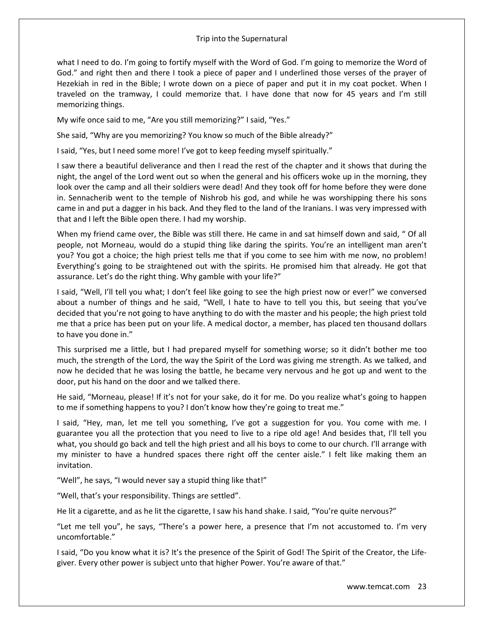what I need to do. I'm going to fortify myself with the Word of God. I'm going to memorize the Word of God." and right then and there I took a piece of paper and I underlined those verses of the prayer of Hezekiah in red in the Bible; I wrote down on a piece of paper and put it in my coat pocket. When I traveled on the tramway, I could memorize that. I have done that now for 45 years and I'm still memorizing things.

My wife once said to me, "Are you still memorizing?" I said, "Yes."

She said, "Why are you memorizing? You know so much of the Bible already?"

I said, "Yes, but I need some more! I've got to keep feeding myself spiritually."

I saw there a beautiful deliverance and then I read the rest of the chapter and it shows that during the night, the angel of the Lord went out so when the general and his officers woke up in the morning, they look over the camp and all their soldiers were dead! And they took off for home before they were done in. Sennacherib went to the temple of Nishrob his god, and while he was worshipping there his sons came in and put a dagger in his back. And they fled to the land of the Iranians. I was very impressed with that and I left the Bible open there. I had my worship.

When my friend came over, the Bible was still there. He came in and sat himself down and said, " Of all people, not Morneau, would do a stupid thing like daring the spirits. You're an intelligent man aren't you? You got a choice; the high priest tells me that if you come to see him with me now, no problem! Everything's going to be straightened out with the spirits. He promised him that already. He got that assurance. Let's do the right thing. Why gamble with your life?"

I said, "Well, I'll tell you what; I don't feel like going to see the high priest now or ever!" we conversed about a number of things and he said, "Well, I hate to have to tell you this, but seeing that you've decided that you're not going to have anything to do with the master and his people; the high priest told me that a price has been put on your life. A medical doctor, a member, has placed ten thousand dollars to have you done in."

This surprised me a little, but I had prepared myself for something worse; so it didn't bother me too much, the strength of the Lord, the way the Spirit of the Lord was giving me strength. As we talked, and now he decided that he was losing the battle, he became very nervous and he got up and went to the door, put his hand on the door and we talked there.

He said, "Morneau, please! If it's not for your sake, do it for me. Do you realize what's going to happen to me if something happens to you? I don't know how they're going to treat me."

I said, "Hey, man, let me tell you something, I've got a suggestion for you. You come with me. I guarantee you all the protection that you need to live to a ripe old age! And besides that, I'll tell you what, you should go back and tell the high priest and all his boys to come to our church. I'll arrange with my minister to have a hundred spaces there right off the center aisle." I felt like making them an invitation.

"Well", he says, "I would never say a stupid thing like that!"

"Well, that's your responsibility. Things are settled".

He lit a cigarette, and as he lit the cigarette, I saw his hand shake. I said, "You're quite nervous?"

"Let me tell you", he says, "There's a power here, a presence that I'm not accustomed to. I'm very uncomfortable."

I said, "Do you know what it is? It's the presence of the Spirit of God! The Spirit of the Creator, the Lifegiver. Every other power is subject unto that higher Power. You're aware of that."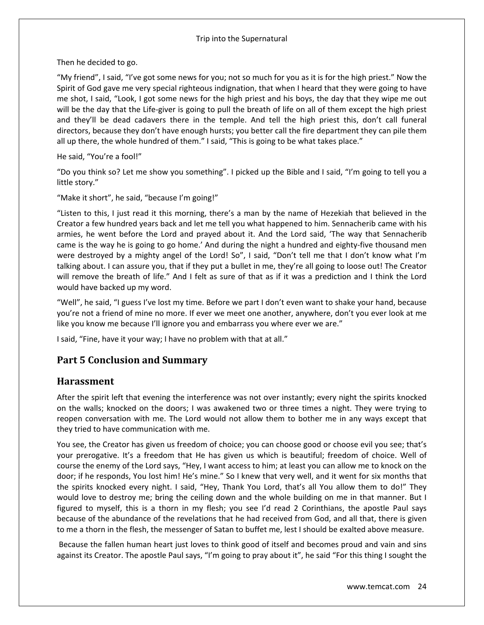Then he decided to go.

"My friend", I said, "I've got some news for you; not so much for you as it is for the high priest." Now the Spirit of God gave me very special righteous indignation, that when I heard that they were going to have me shot, I said, "Look, I got some news for the high priest and his boys, the day that they wipe me out will be the day that the Life-giver is going to pull the breath of life on all of them except the high priest and they'll be dead cadavers there in the temple. And tell the high priest this, don't call funeral directors, because they don't have enough hursts; you better call the fire department they can pile them all up there, the whole hundred of them." I said, "This is going to be what takes place."

He said, "You're a fool!"

"Do you think so? Let me show you something". I picked up the Bible and I said, "I'm going to tell you a little story."

"Make it short", he said, "because I'm going!"

"Listen to this, I just read it this morning, there's a man by the name of Hezekiah that believed in the Creator a few hundred years back and let me tell you what happened to him. Sennacherib came with his armies, he went before the Lord and prayed about it. And the Lord said, 'The way that Sennacherib came is the way he is going to go home.' And during the night a hundred and eighty-five thousand men were destroyed by a mighty angel of the Lord! So", I said, "Don't tell me that I don't know what I'm talking about. I can assure you, that if they put a bullet in me, they're all going to loose out! The Creator will remove the breath of life." And I felt as sure of that as if it was a prediction and I think the Lord would have backed up my word.

"Well", he said, "I guess I've lost my time. Before we part I don't even want to shake your hand, because you're not a friend of mine no more. If ever we meet one another, anywhere, don't you ever look at me like you know me because I'll ignore you and embarrass you where ever we are."

I said, "Fine, have it your way; I have no problem with that at all."

# **Part 5 Conclusion and Summary**

### **Harassment**

After the spirit left that evening the interference was not over instantly; every night the spirits knocked on the walls; knocked on the doors; I was awakened two or three times a night. They were trying to reopen conversation with me. The Lord would not allow them to bother me in any ways except that they tried to have communication with me.

You see, the Creator has given us freedom of choice; you can choose good or choose evil you see; that's your prerogative. It's a freedom that He has given us which is beautiful; freedom of choice. Well of course the enemy of the Lord says, "Hey, I want access to him; at least you can allow me to knock on the door; if he responds, You lost him! He's mine." So I knew that very well, and it went for six months that the spirits knocked every night. I said, "Hey, Thank You Lord, that's all You allow them to do!" They would love to destroy me; bring the ceiling down and the whole building on me in that manner. But I figured to myself, this is a thorn in my flesh; you see I'd read 2 Corinthians, the apostle Paul says because of the abundance of the revelations that he had received from God, and all that, there is given to me a thorn in the flesh, the messenger of Satan to buffet me, lest I should be exalted above measure.

Because the fallen human heart just loves to think good of itself and becomes proud and vain and sins against its Creator. The apostle Paul says, "I'm going to pray about it", he said "For this thing I sought the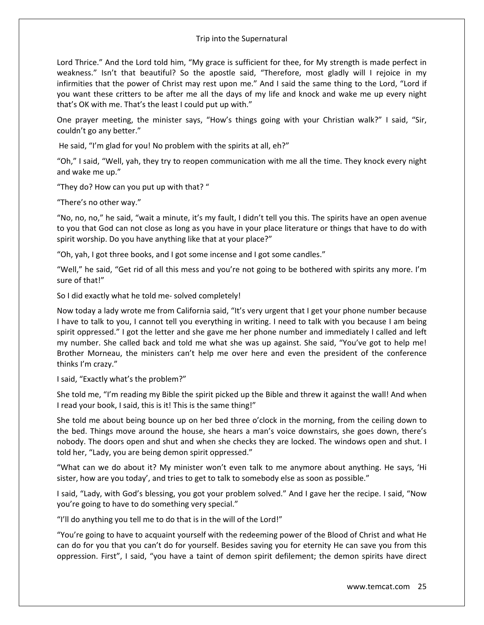Lord Thrice." And the Lord told him, "My grace is sufficient for thee, for My strength is made perfect in weakness." Isn't that beautiful? So the apostle said, "Therefore, most gladly will I rejoice in my infirmities that the power of Christ may rest upon me." And I said the same thing to the Lord, "Lord if you want these critters to be after me all the days of my life and knock and wake me up every night that's OK with me. That's the least I could put up with."

One prayer meeting, the minister says, "How's things going with your Christian walk?" I said, "Sir, couldn't go any better."

He said, "I'm glad for you! No problem with the spirits at all, eh?"

"Oh," I said, "Well, yah, they try to reopen communication with me all the time. They knock every night and wake me up."

"They do? How can you put up with that? "

"There's no other way."

"No, no, no," he said, "wait a minute, it's my fault, I didn't tell you this. The spirits have an open avenue to you that God can not close as long as you have in your place literature or things that have to do with spirit worship. Do you have anything like that at your place?"

"Oh, yah, I got three books, and I got some incense and I got some candles."

"Well," he said, "Get rid of all this mess and you're not going to be bothered with spirits any more. I'm sure of that!"

So I did exactly what he told me- solved completely!

Now today a lady wrote me from California said, "It's very urgent that I get your phone number because I have to talk to you, I cannot tell you everything in writing. I need to talk with you because I am being spirit oppressed." I got the letter and she gave me her phone number and immediately I called and left my number. She called back and told me what she was up against. She said, "You've got to help me! Brother Morneau, the ministers can't help me over here and even the president of the conference thinks I'm crazy."

I said, "Exactly what's the problem?"

She told me, "I'm reading my Bible the spirit picked up the Bible and threw it against the wall! And when I read your book, I said, this is it! This is the same thing!"

She told me about being bounce up on her bed three o'clock in the morning, from the ceiling down to the bed. Things move around the house, she hears a man's voice downstairs, she goes down, there's nobody. The doors open and shut and when she checks they are locked. The windows open and shut. I told her, "Lady, you are being demon spirit oppressed."

"What can we do about it? My minister won't even talk to me anymore about anything. He says, 'Hi sister, how are you today', and tries to get to talk to somebody else as soon as possible."

I said, "Lady, with God's blessing, you got your problem solved." And I gave her the recipe. I said, "Now you're going to have to do something very special."

"I'll do anything you tell me to do that is in the will of the Lord!"

"You're going to have to acquaint yourself with the redeeming power of the Blood of Christ and what He can do for you that you can't do for yourself. Besides saving you for eternity He can save you from this oppression. First", I said, "you have a taint of demon spirit defilement; the demon spirits have direct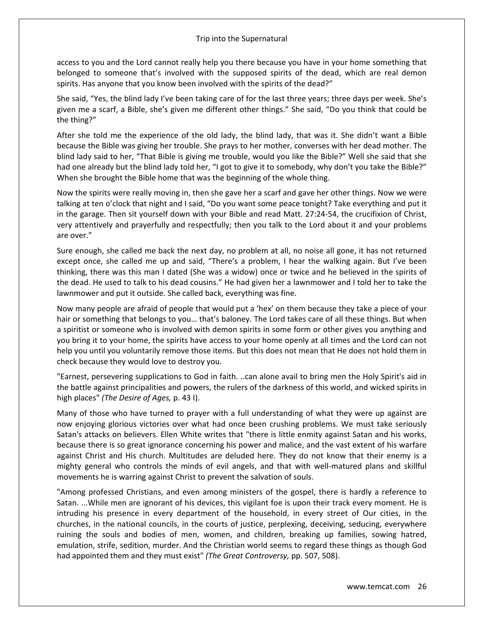access to you and the Lord cannot really help you there because you have in your home something that belonged to someone that's involved with the supposed spirits of the dead, which are real demon spirits. Has anyone that you know been involved with the spirits of the dead?"

She said, "Yes, the blind lady I've been taking care of for the last three years; three days per week. She's given me a scarf, a Bible, she's given me different other things." She said, "Do you think that could be the thing?"

After she told me the experience of the old lady, the blind lady, that was it. She didn't want a Bible because the Bible was giving her trouble. She prays to her mother, converses with her dead mother. The blind lady said to her, "That Bible is giving me trouble, would you like the Bible?" Well she said that she had one already but the blind lady told her, "I got to give it to somebody, why don't you take the Bible?" When she brought the Bible home that was the beginning of the whole thing.

Now the spirits were really moving in, then she gave her a scarf and gave her other things. Now we were talking at ten o'clock that night and I said, "Do you want some peace tonight? Take everything and put it in the garage. Then sit yourself down with your Bible and read Matt. 27:24-54, the crucifixion of Christ, very attentively and prayerfully and respectfully; then you talk to the Lord about it and your problems are over."

Sure enough, she called me back the next day, no problem at all, no noise all gone, it has not returned except once, she called me up and said, "There's a problem, I hear the walking again. But I've been thinking, there was this man I dated (She was a widow) once or twice and he believed in the spirits of the dead. He used to talk to his dead cousins." He had given her a lawnmower and I told her to take the lawnmower and put it outside. She called back, everything was fine.

Now many people are afraid of people that would put a 'hex' on them because they take a piece of your hair or something that belongs to you… that's baloney. The Lord takes care of all these things. But when a spiritist or someone who is involved with demon spirits in some form or other gives you anything and you bring it to your home, the spirits have access to your home openly at all times and the Lord can not help you until you voluntarily remove those items. But this does not mean that He does not hold them in check because they would love to destroy you.

"Earnest, persevering supplications to God in faith. ..can alone avail to bring men the Holy Spirit's aid in the battle against principalities and powers, the rulers of the darkness of this world, and wicked spirits in high places" *(The Desire of Ages,* p. 43 I).

Many of those who have turned to prayer with a full understanding of what they were up against are now enjoying glorious victories over what had once been crushing problems. We must take seriously Satan's attacks on believers. Ellen White writes that "there is little enmity against Satan and his works, because there is so great ignorance concerning his power and malice, and the vast extent of his warfare against Christ and His church. Multitudes are deluded here. They do not know that their enemy is a mighty general who controls the minds of evil angels, and that with well-matured plans and skillful movements he is warring against Christ to prevent the salvation of souls.

"Among professed Christians, and even among ministers of the gospel, there is hardly a reference to Satan. ...While men are ignorant of his devices, this vigilant foe is upon their track every moment. He is intruding his presence in every department of the household, in every street of Our cities, in the churches, in the national councils, in the courts of justice, perplexing, deceiving, seducing, everywhere ruining the souls and bodies of men, women, and children, breaking up families, sowing hatred, emulation, strife, sedition, murder. And the Christian world seems to regard these things as though God had appointed them and they must exist" *(The Great Controversy,* pp. 507, 508).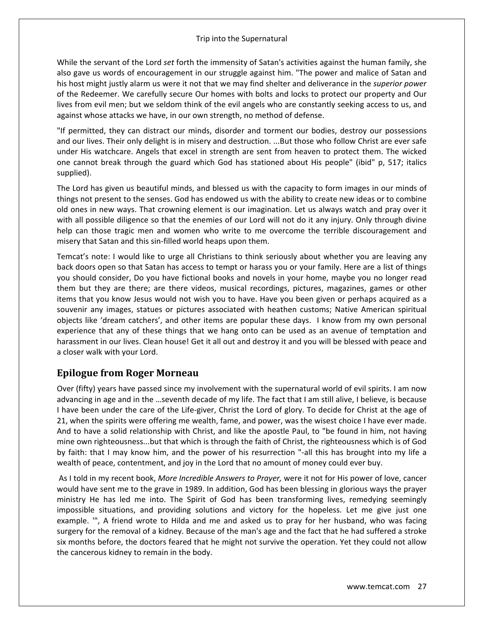While the servant of the Lord *set* forth the immensity of Satan's activities against the human family, she also gave us words of encouragement in our struggle against him. "The power and malice of Satan and his host might justly alarm us were it not that we may find shelter and deliverance in the *superior power*  of the Redeemer. We carefully secure Our homes with bolts and locks to protect our property and Our lives from evil men; but we seldom think of the evil angels who are constantly seeking access to us, and against whose attacks we have, in our own strength, no method of defense.

"If permitted, they can distract our minds, disorder and torment our bodies, destroy our possessions and our lives. Their only delight is in misery and destruction. ...But those who follow Christ are ever safe under His watchcare. Angels that excel in strength are sent from heaven to protect them. The wicked one cannot break through the guard which God has stationed about His people" (ibid" p, 517; italics supplied).

The Lord has given us beautiful minds, and blessed us with the capacity to form images in our minds of things not present to the senses. God has endowed us with the ability to create new ideas or to combine old ones in new ways. That crowning element is our imagination. Let us always watch and pray over it with all possible diligence so that the enemies of our Lord will not do it any injury. Only through divine help can those tragic men and women who write to me overcome the terrible discouragement and misery that Satan and this sin-filled world heaps upon them.

Temcat's note: I would like to urge all Christians to think seriously about whether you are leaving any back doors open so that Satan has access to tempt or harass you or your family. Here are a list of things you should consider, Do you have fictional books and novels in your home, maybe you no longer read them but they are there; are there videos, musical recordings, pictures, magazines, games or other items that you know Jesus would not wish you to have. Have you been given or perhaps acquired as a souvenir any images, statues or pictures associated with heathen customs; Native American spiritual objects like 'dream catchers', and other items are popular these days. I know from my own personal experience that any of these things that we hang onto can be used as an avenue of temptation and harassment in our lives. Clean house! Get it all out and destroy it and you will be blessed with peace and a closer walk with your Lord.

### **Epilogue from Roger Morneau**

Over (fifty) years have passed since my involvement with the supernatural world of evil spirits. I am now advancing in age and in the …seventh decade of my life. The fact that I am still alive, I believe, is because I have been under the care of the Life-giver, Christ the Lord of glory. To decide for Christ at the age of 21, when the spirits were offering me wealth, fame, and power, was the wisest choice I have ever made. And to have a solid relationship with Christ, and like the apostle Paul, to "be found in him, not having mine own righteousness...but that which is through the faith of Christ, the righteousness which is of God by faith: that I may know him, and the power of his resurrection "-all this has brought into my life a wealth of peace, contentment, and joy in the Lord that no amount of money could ever buy.

As I told in my recent book, *More Incredible Answers to Prayer,* were it not for His power of love, cancer would have sent me to the grave in 1989. In addition, God has been blessing in glorious ways the prayer ministry He has led me into. The Spirit of God has been transforming lives, remedying seemingly impossible situations, and providing solutions and victory for the hopeless. Let me give just one example. '", A friend wrote to Hilda and me and asked us to pray for her husband, who was facing surgery for the removal of a kidney. Because of the man's age and the fact that he had suffered a stroke six months before, the doctors feared that he might not survive the operation. Yet they could not allow the cancerous kidney to remain in the body.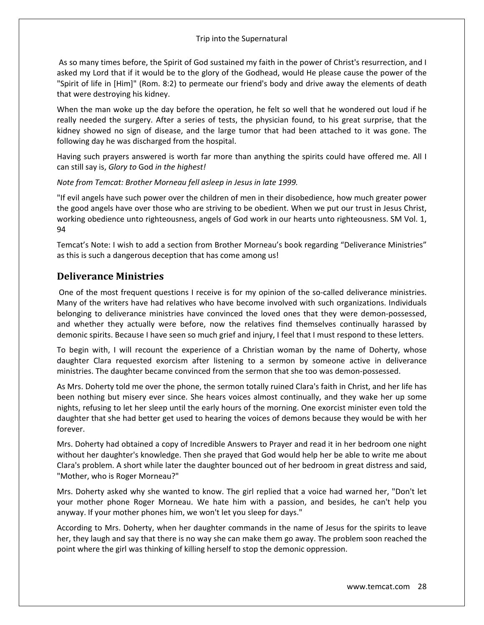As so many times before, the Spirit of God sustained my faith in the power of Christ's resurrection, and I asked my Lord that if it would be to the glory of the Godhead, would He please cause the power of the "Spirit of life in [Him]" (Rom. 8:2) to permeate our friend's body and drive away the elements of death that were destroying his kidney.

When the man woke up the day before the operation, he felt so well that he wondered out loud if he really needed the surgery. After a series of tests, the physician found, to his great surprise, that the kidney showed no sign of disease, and the large tumor that had been attached to it was gone. The following day he was discharged from the hospital.

Having such prayers answered is worth far more than anything the spirits could have offered me. All I can still say is, *Glory to* God *in the highest!* 

### *Note from Temcat: Brother Morneau fell asleep in Jesus in late 1999.*

"If evil angels have such power over the children of men in their disobedience, how much greater power the good angels have over those who are striving to be obedient. When we put our trust in Jesus Christ, working obedience unto righteousness, angels of God work in our hearts unto righteousness. SM Vol. 1, 94

Temcat's Note: I wish to add a section from Brother Morneau's book regarding "Deliverance Ministries" as this is such a dangerous deception that has come among us!

### **Deliverance Ministries**

One of the most frequent questions I receive is for my opinion of the so-called deliverance ministries. Many of the writers have had relatives who have become involved with such organizations. Individuals belonging to deliverance ministries have convinced the loved ones that they were demon-possessed, and whether they actually were before, now the relatives find themselves continually harassed by demonic spirits. Because I have seen so much grief and injury, I feel that I must respond to these letters.

To begin with, I will recount the experience of a Christian woman by the name of Doherty, whose daughter Clara requested exorcism after listening to a sermon by someone active in deliverance ministries. The daughter became convinced from the sermon that she too was demon-possessed.

As Mrs. Doherty told me over the phone, the sermon totally ruined Clara's faith in Christ, and her life has been nothing but misery ever since. She hears voices almost continually, and they wake her up some nights, refusing to let her sleep until the early hours of the morning. One exorcist minister even told the daughter that she had better get used to hearing the voices of demons because they would be with her forever.

Mrs. Doherty had obtained a copy of Incredible Answers to Prayer and read it in her bedroom one night without her daughter's knowledge. Then she prayed that God would help her be able to write me about Clara's problem. A short while later the daughter bounced out of her bedroom in great distress and said, "Mother, who is Roger Morneau?"

Mrs. Doherty asked why she wanted to know. The girl replied that a voice had warned her, "Don't let your mother phone Roger Morneau. We hate him with a passion, and besides, he can't help you anyway. If your mother phones him, we won't let you sleep for days."

According to Mrs. Doherty, when her daughter commands in the name of Jesus for the spirits to leave her, they laugh and say that there is no way she can make them go away. The problem soon reached the point where the girl was thinking of killing herself to stop the demonic oppression.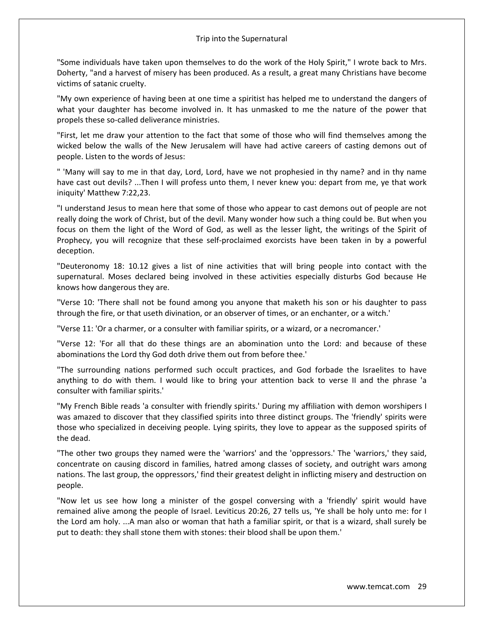"Some individuals have taken upon themselves to do the work of the Holy Spirit," I wrote back to Mrs. Doherty, "and a harvest of misery has been produced. As a result, a great many Christians have become victims of satanic cruelty.

"My own experience of having been at one time a spiritist has helped me to understand the dangers of what your daughter has become involved in. It has unmasked to me the nature of the power that propels these so-called deliverance ministries.

"First, let me draw your attention to the fact that some of those who will find themselves among the wicked below the walls of the New Jerusalem will have had active careers of casting demons out of people. Listen to the words of Jesus:

" 'Many will say to me in that day, Lord, Lord, have we not prophesied in thy name? and in thy name have cast out devils? ...Then I will profess unto them, I never knew you: depart from me, ye that work iniquity' Matthew 7:22,23.

"I understand Jesus to mean here that some of those who appear to cast demons out of people are not really doing the work of Christ, but of the devil. Many wonder how such a thing could be. But when you focus on them the light of the Word of God, as well as the lesser light, the writings of the Spirit of Prophecy, you will recognize that these self-proclaimed exorcists have been taken in by a powerful deception.

"Deuteronomy 18: 10.12 gives a list of nine activities that will bring people into contact with the supernatural. Moses declared being involved in these activities especially disturbs God because He knows how dangerous they are.

"Verse 10: 'There shall not be found among you anyone that maketh his son or his daughter to pass through the fire, or that useth divination, or an observer of times, or an enchanter, or a witch.'

"Verse 11: 'Or a charmer, or a consulter with familiar spirits, or a wizard, or a necromancer.'

"Verse 12: 'For all that do these things are an abomination unto the Lord: and because of these abominations the Lord thy God doth drive them out from before thee.'

"The surrounding nations performed such occult practices, and God forbade the Israelites to have anything to do with them. I would like to bring your attention back to verse II and the phrase 'a consulter with familiar spirits.'

"My French Bible reads 'a consulter with friendly spirits.' During my affiliation with demon worshipers I was amazed to discover that they classified spirits into three distinct groups. The 'friendly' spirits were those who specialized in deceiving people. Lying spirits, they love to appear as the supposed spirits of the dead.

"The other two groups they named were the 'warriors' and the 'oppressors.' The 'warriors,' they said, concentrate on causing discord in families, hatred among classes of society, and outright wars among nations. The last group, the oppressors,' find their greatest delight in inflicting misery and destruction on people.

"Now let us see how long a minister of the gospel conversing with a 'friendly' spirit would have remained alive among the people of Israel. Leviticus 20:26, 27 tells us, 'Ye shall be holy unto me: for I the Lord am holy. ...A man also or woman that hath a familiar spirit, or that is a wizard, shall surely be put to death: they shall stone them with stones: their blood shall be upon them.'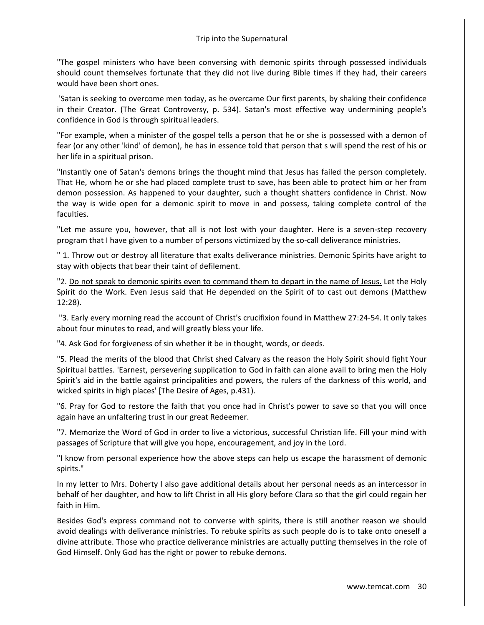"The gospel ministers who have been conversing with demonic spirits through possessed individuals should count themselves fortunate that they did not live during Bible times if they had, their careers would have been short ones.

'Satan is seeking to overcome men today, as he overcame Our first parents, by shaking their confidence in their Creator. (The Great Controversy, p. 534). Satan's most effective way undermining people's confidence in God is through spiritual leaders.

"For example, when a minister of the gospel tells a person that he or she is possessed with a demon of fear (or any other 'kind' of demon), he has in essence told that person that s will spend the rest of his or her life in a spiritual prison.

"Instantly one of Satan's demons brings the thought mind that Jesus has failed the person completely. That He, whom he or she had placed complete trust to save, has been able to protect him or her from demon possession. As happened to your daughter, such a thought shatters confidence in Christ. Now the way is wide open for a demonic spirit to move in and possess, taking complete control of the faculties.

"Let me assure you, however, that all is not lost with your daughter. Here is a seven-step recovery program that I have given to a number of persons victimized by the so-call deliverance ministries.

" 1. Throw out or destroy all literature that exalts deliverance ministries. Demonic Spirits have aright to stay with objects that bear their taint of defilement.

"2. Do not speak to demonic spirits even to command them to depart in the name of Jesus. Let the Holy Spirit do the Work. Even Jesus said that He depended on the Spirit of to cast out demons (Matthew 12:28).

"3. Early every morning read the account of Christ's crucifixion found in Matthew 27:24-54. It only takes about four minutes to read, and will greatly bless your life.

"4. Ask God for forgiveness of sin whether it be in thought, words, or deeds.

"5. Plead the merits of the blood that Christ shed Calvary as the reason the Holy Spirit should fight Your Spiritual battles. 'Earnest, persevering supplication to God in faith can alone avail to bring men the Holy Spirit's aid in the battle against principalities and powers, the rulers of the darkness of this world, and wicked spirits in high places' [The Desire of Ages, p.431).

"6. Pray for God to restore the faith that you once had in Christ's power to save so that you will once again have an unfaltering trust in our great Redeemer.

"7. Memorize the Word of God in order to live a victorious, successful Christian life. Fill your mind with passages of Scripture that will give you hope, encouragement, and joy in the Lord.

"I know from personal experience how the above steps can help us escape the harassment of demonic spirits."

In my letter to Mrs. Doherty I also gave additional details about her personal needs as an intercessor in behalf of her daughter, and how to lift Christ in all His glory before Clara so that the girl could regain her faith in Him.

Besides God's express command not to converse with spirits, there is still another reason we should avoid dealings with deliverance ministries. To rebuke spirits as such people do is to take onto oneself a divine attribute. Those who practice deliverance ministries are actually putting themselves in the role of God Himself. Only God has the right or power to rebuke demons.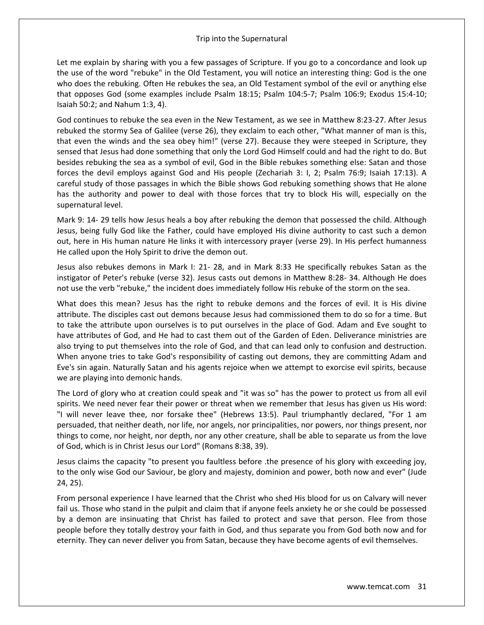Let me explain by sharing with you a few passages of Scripture. If you go to a concordance and look up the use of the word "rebuke" in the Old Testament, you will notice an interesting thing: God is the one who does the rebuking. Often He rebukes the sea, an Old Testament symbol of the evil or anything else that opposes God (some examples include Psalm 18:15; Psalm 104:5-7; Psalm 106:9; Exodus 15:4-10; Isaiah 50:2; and Nahum 1:3, 4).

God continues to rebuke the sea even in the New Testament, as we see in Matthew 8:23-27. After Jesus rebuked the stormy Sea of Galilee (verse 26), they exclaim to each other, "What manner of man is this, that even the winds and the sea obey him!" (verse 27). Because they were steeped in Scripture, they sensed that Jesus had done something that only the Lord God Himself could and had the right to do. But besides rebuking the sea as a symbol of evil, God in the Bible rebukes something else: Satan and those forces the devil employs against God and His people (Zechariah 3: I, 2; Psalm 76:9; Isaiah 17:13). A careful study of those passages in which the Bible shows God rebuking something shows that He alone has the authority and power to deal with those forces that try to block His will, especially on the supernatural level.

Mark 9: 14- 29 tells how Jesus heals a boy after rebuking the demon that possessed the child. Although Jesus, being fully God like the Father, could have employed His divine authority to cast such a demon out, here in His human nature He links it with intercessory prayer (verse 29). In His perfect humanness He called upon the Holy Spirit to drive the demon out.

Jesus also rebukes demons in Mark I: 21- 28, and in Mark 8:33 He specifically rebukes Satan as the instigator of Peter's rebuke (verse 32). Jesus casts out demons in Matthew 8:28- 34. Although He does not use the verb "rebuke," the incident does immediately follow His rebuke of the storm on the sea.

What does this mean? Jesus has the right to rebuke demons and the forces of evil. It is His divine attribute. The disciples cast out demons because Jesus had commissioned them to do so for a time. But to take the attribute upon ourselves is to put ourselves in the place of God. Adam and Eve sought to have attributes of God, and He had to cast them out of the Garden of Eden. Deliverance ministries are also trying to put themselves into the role of God, and that can lead only to confusion and destruction. When anyone tries to take God's responsibility of casting out demons, they are committing Adam and Eve's sin again. Naturally Satan and his agents rejoice when we attempt to exorcise evil spirits, because we are playing into demonic hands.

The Lord of glory who at creation could speak and "it was so" has the power to protect us from all evil spirits. We need never fear their power or threat when we remember that Jesus has given us His word: "I will never leave thee, nor forsake thee" (Hebrews 13:5). Paul triumphantly declared, "For 1 am persuaded, that neither death, nor life, nor angels, nor principalities, nor powers, nor things present, nor things to come, nor height, nor depth, nor any other creature, shall be able to separate us from the love of God, which is in Christ Jesus our Lord" (Romans 8:38, 39).

Jesus claims the capacity "to present you faultless before .the presence of his glory with exceeding joy, to the only wise God our Saviour, be glory and majesty, dominion and power, both now and ever" (Jude 24, 25).

From personal experience I have learned that the Christ who shed His blood for us on Calvary will never fail us. Those who stand in the pulpit and claim that if anyone feels anxiety he or she could be possessed by a demon are insinuating that Christ has failed to protect and save that person. Flee from those people before they totally destroy your faith in God, and thus separate you from God both now and for eternity. They can never deliver you from Satan, because they have become agents of evil themselves.